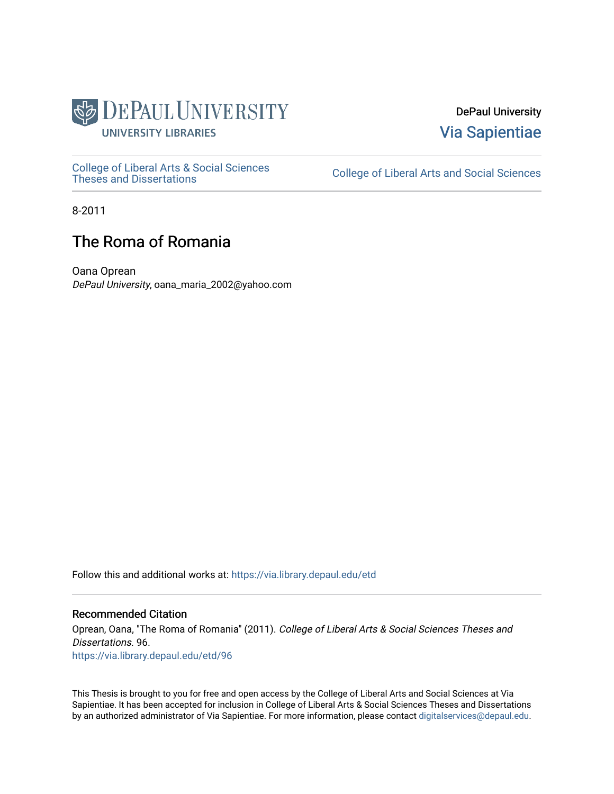

DePaul University [Via Sapientiae](https://via.library.depaul.edu/) 

[College of Liberal Arts & Social Sciences](https://via.library.depaul.edu/etd) 

College of Liberal Arts and Social Sciences

8-2011

# The Roma of Romania

Oana Oprean DePaul University, oana\_maria\_2002@yahoo.com

Follow this and additional works at: [https://via.library.depaul.edu/etd](https://via.library.depaul.edu/etd?utm_source=via.library.depaul.edu%2Fetd%2F96&utm_medium=PDF&utm_campaign=PDFCoverPages)

# Recommended Citation

Oprean, Oana, "The Roma of Romania" (2011). College of Liberal Arts & Social Sciences Theses and Dissertations. 96. [https://via.library.depaul.edu/etd/96](https://via.library.depaul.edu/etd/96?utm_source=via.library.depaul.edu%2Fetd%2F96&utm_medium=PDF&utm_campaign=PDFCoverPages) 

This Thesis is brought to you for free and open access by the College of Liberal Arts and Social Sciences at Via Sapientiae. It has been accepted for inclusion in College of Liberal Arts & Social Sciences Theses and Dissertations by an authorized administrator of Via Sapientiae. For more information, please contact [digitalservices@depaul.edu.](mailto:digitalservices@depaul.edu)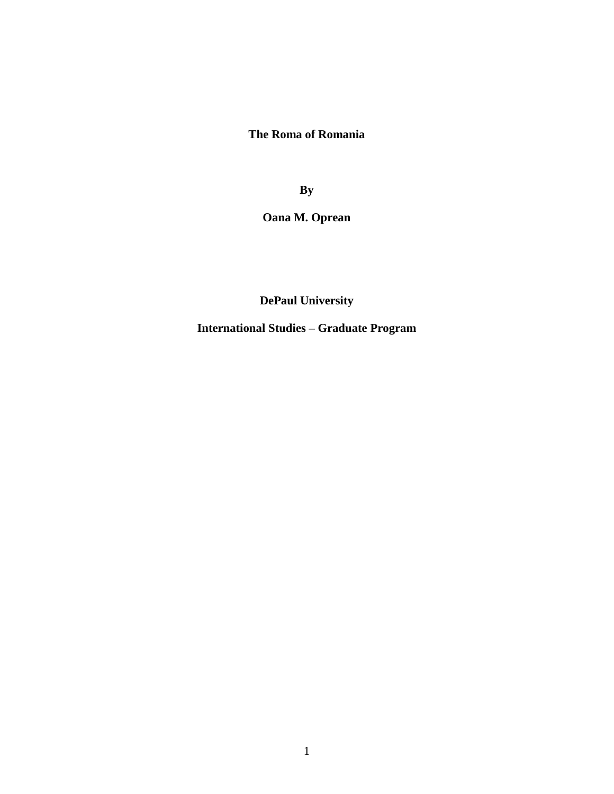**The Roma of Romania**

**By**

**Oana M. Oprean**

**DePaul University**

**International Studies – Graduate Program**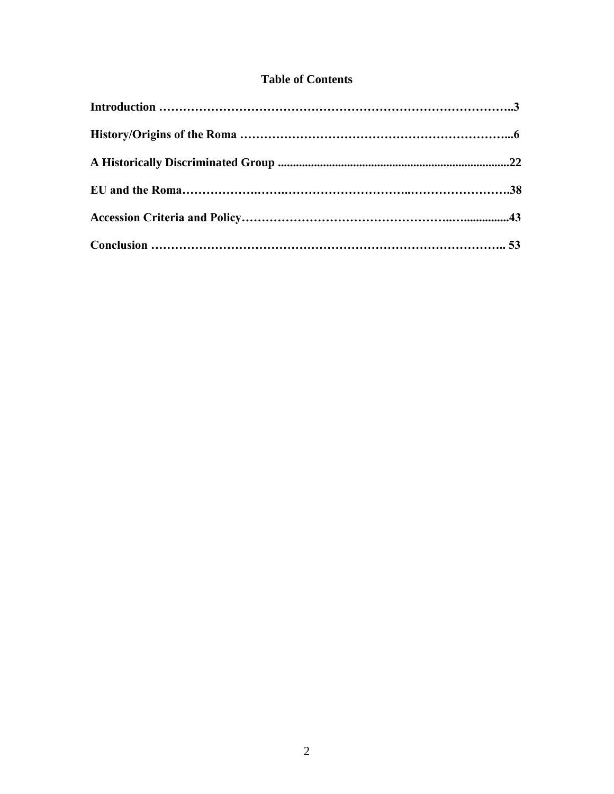# **Table of Contents**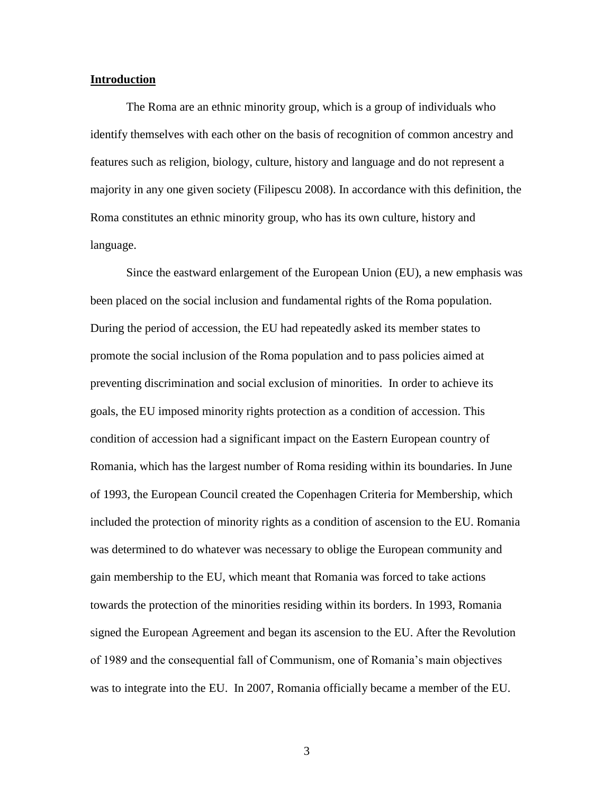# **Introduction**

The Roma are an ethnic minority group, which is a group of individuals who identify themselves with each other on the basis of recognition of common ancestry and features such as religion, biology, culture, history and language and do not represent a majority in any one given society (Filipescu 2008). In accordance with this definition, the Roma constitutes an ethnic minority group, who has its own culture, history and language.

Since the eastward enlargement of the European Union (EU), a new emphasis was been placed on the social inclusion and fundamental rights of the Roma population. During the period of accession, the EU had repeatedly asked its member states to promote the social inclusion of the Roma population and to pass policies aimed at preventing discrimination and social exclusion of minorities. In order to achieve its goals, the EU imposed minority rights protection as a condition of accession. This condition of accession had a significant impact on the Eastern European country of Romania, which has the largest number of Roma residing within its boundaries. In June of 1993, the European Council created the Copenhagen Criteria for Membership, which included the protection of minority rights as a condition of ascension to the EU. Romania was determined to do whatever was necessary to oblige the European community and gain membership to the EU, which meant that Romania was forced to take actions towards the protection of the minorities residing within its borders. In 1993, Romania signed the European Agreement and began its ascension to the EU. After the Revolution of 1989 and the consequential fall of Communism, one of Romania"s main objectives was to integrate into the EU. In 2007, Romania officially became a member of the EU.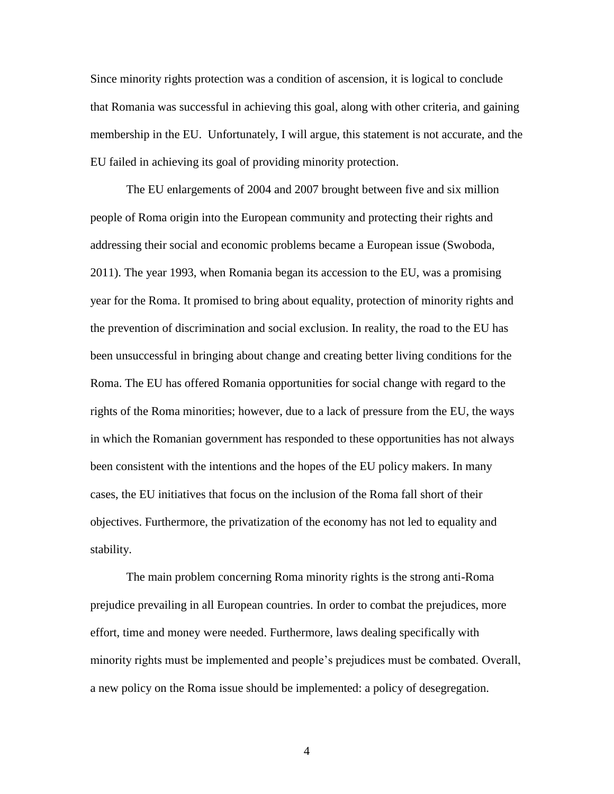Since minority rights protection was a condition of ascension, it is logical to conclude that Romania was successful in achieving this goal, along with other criteria, and gaining membership in the EU. Unfortunately, I will argue, this statement is not accurate, and the EU failed in achieving its goal of providing minority protection.

The EU enlargements of 2004 and 2007 brought between five and six million people of Roma origin into the European community and protecting their rights and addressing their social and economic problems became a European issue (Swoboda, 2011). The year 1993, when Romania began its accession to the EU, was a promising year for the Roma. It promised to bring about equality, protection of minority rights and the prevention of discrimination and social exclusion. In reality, the road to the EU has been unsuccessful in bringing about change and creating better living conditions for the Roma. The EU has offered Romania opportunities for social change with regard to the rights of the Roma minorities; however, due to a lack of pressure from the EU, the ways in which the Romanian government has responded to these opportunities has not always been consistent with the intentions and the hopes of the EU policy makers. In many cases, the EU initiatives that focus on the inclusion of the Roma fall short of their objectives. Furthermore, the privatization of the economy has not led to equality and stability.

The main problem concerning Roma minority rights is the strong anti-Roma prejudice prevailing in all European countries. In order to combat the prejudices, more effort, time and money were needed. Furthermore, laws dealing specifically with minority rights must be implemented and people"s prejudices must be combated. Overall, a new policy on the Roma issue should be implemented: a policy of desegregation.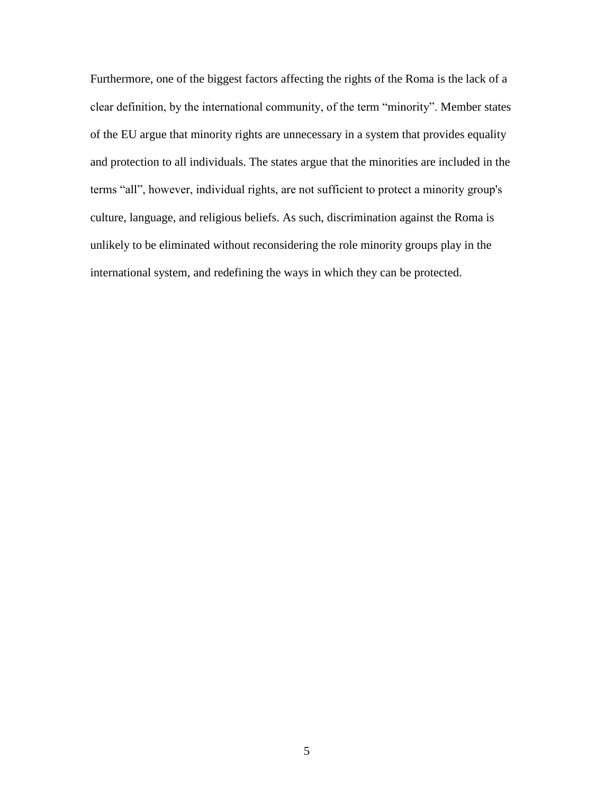Furthermore, one of the biggest factors affecting the rights of the Roma is the lack of a clear definition, by the international community, of the term "minority". Member states of the EU argue that minority rights are unnecessary in a system that provides equality and protection to all individuals. The states argue that the minorities are included in the terms "all", however, individual rights, are not sufficient to protect a minority group's culture, language, and religious beliefs. As such, discrimination against the Roma is unlikely to be eliminated without reconsidering the role minority groups play in the international system, and redefining the ways in which they can be protected.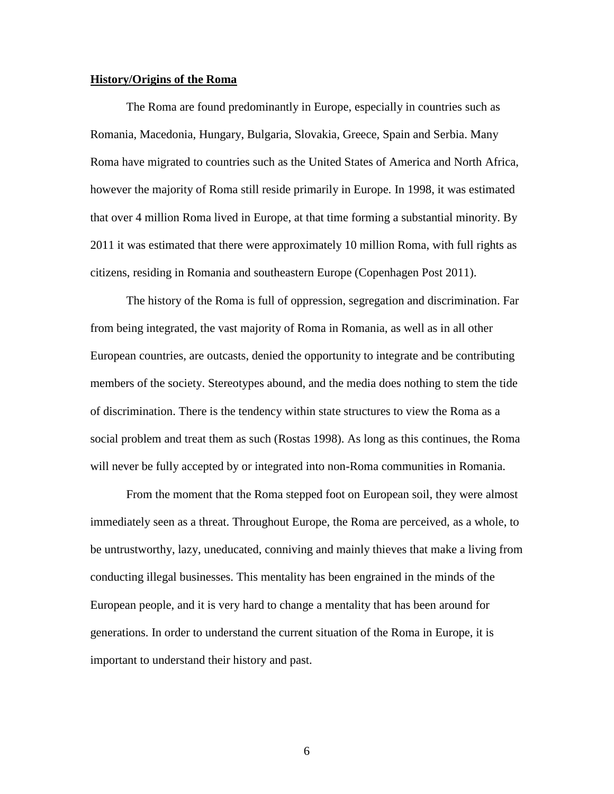# **History/Origins of the Roma**

The Roma are found predominantly in Europe, especially in countries such as Romania, Macedonia, Hungary, Bulgaria, Slovakia, Greece, Spain and Serbia. Many Roma have migrated to countries such as the United States of America and North Africa, however the majority of Roma still reside primarily in Europe. In 1998, it was estimated that over 4 million Roma lived in Europe, at that time forming a substantial minority. By 2011 it was estimated that there were approximately 10 million Roma, with full rights as citizens, residing in Romania and southeastern Europe (Copenhagen Post 2011).

The history of the Roma is full of oppression, segregation and discrimination. Far from being integrated, the vast majority of Roma in Romania, as well as in all other European countries, are outcasts, denied the opportunity to integrate and be contributing members of the society. Stereotypes abound, and the media does nothing to stem the tide of discrimination. There is the tendency within state structures to view the Roma as a social problem and treat them as such (Rostas 1998). As long as this continues, the Roma will never be fully accepted by or integrated into non-Roma communities in Romania.

From the moment that the Roma stepped foot on European soil, they were almost immediately seen as a threat. Throughout Europe, the Roma are perceived, as a whole, to be untrustworthy, lazy, uneducated, conniving and mainly thieves that make a living from conducting illegal businesses. This mentality has been engrained in the minds of the European people, and it is very hard to change a mentality that has been around for generations. In order to understand the current situation of the Roma in Europe, it is important to understand their history and past.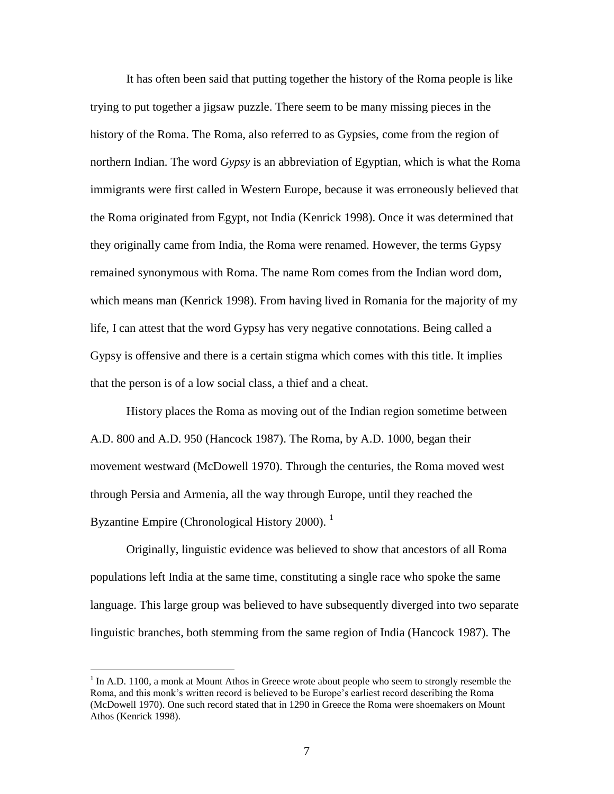It has often been said that putting together the history of the Roma people is like trying to put together a jigsaw puzzle. There seem to be many missing pieces in the history of the Roma. The Roma, also referred to as Gypsies, come from the region of northern Indian. The word *Gypsy* is an abbreviation of Egyptian, which is what the Roma immigrants were first called in Western Europe, because it was erroneously believed that the Roma originated from Egypt, not India (Kenrick 1998). Once it was determined that they originally came from India, the Roma were renamed. However, the terms Gypsy remained synonymous with Roma. The name Rom comes from the Indian word dom, which means man (Kenrick 1998). From having lived in Romania for the majority of my life, I can attest that the word Gypsy has very negative connotations. Being called a Gypsy is offensive and there is a certain stigma which comes with this title. It implies that the person is of a low social class, a thief and a cheat.

History places the Roma as moving out of the Indian region sometime between A.D. 800 and A.D. 950 (Hancock 1987). The Roma, by A.D. 1000, began their movement westward (McDowell 1970). Through the centuries, the Roma moved west through Persia and Armenia, all the way through Europe, until they reached the Byzantine Empire (Chronological History 2000).  $<sup>1</sup>$ </sup>

Originally, linguistic evidence was believed to show that ancestors of all Roma populations left India at the same time, constituting a single race who spoke the same language. This large group was believed to have subsequently diverged into two separate linguistic branches, both stemming from the same region of India (Hancock 1987). The

 $<sup>1</sup>$  In A.D. 1100, a monk at Mount Athos in Greece wrote about people who seem to strongly resemble the</sup> Roma, and this monk"s written record is believed to be Europe"s earliest record describing the Roma (McDowell 1970). One such record stated that in 1290 in Greece the Roma were shoemakers on Mount Athos (Kenrick 1998).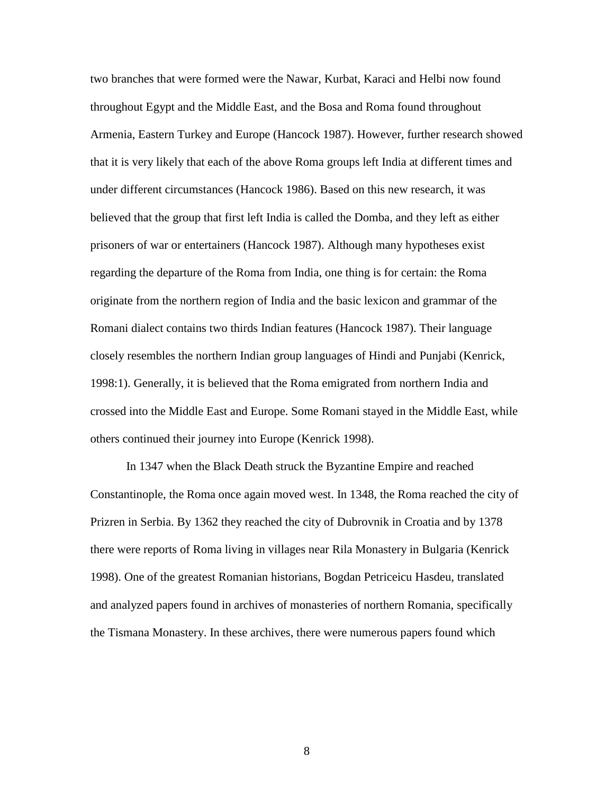two branches that were formed were the Nawar, Kurbat, Karaci and Helbi now found throughout Egypt and the Middle East, and the Bosa and Roma found throughout Armenia, Eastern Turkey and Europe (Hancock 1987). However, further research showed that it is very likely that each of the above Roma groups left India at different times and under different circumstances (Hancock 1986). Based on this new research, it was believed that the group that first left India is called the Domba, and they left as either prisoners of war or entertainers (Hancock 1987). Although many hypotheses exist regarding the departure of the Roma from India, one thing is for certain: the Roma originate from the northern region of India and the basic lexicon and grammar of the Romani dialect contains two thirds Indian features (Hancock 1987). Their language closely resembles the northern Indian group languages of Hindi and Punjabi (Kenrick, 1998:1). Generally, it is believed that the Roma emigrated from northern India and crossed into the Middle East and Europe. Some Romani stayed in the Middle East, while others continued their journey into Europe (Kenrick 1998).

In 1347 when the Black Death struck the Byzantine Empire and reached Constantinople, the Roma once again moved west. In 1348, the Roma reached the city of Prizren in Serbia. By 1362 they reached the city of Dubrovnik in Croatia and by 1378 there were reports of Roma living in villages near Rila Monastery in Bulgaria (Kenrick 1998). One of the greatest Romanian historians, Bogdan Petriceicu Hasdeu, translated and analyzed papers found in archives of monasteries of northern Romania, specifically the Tismana Monastery. In these archives, there were numerous papers found which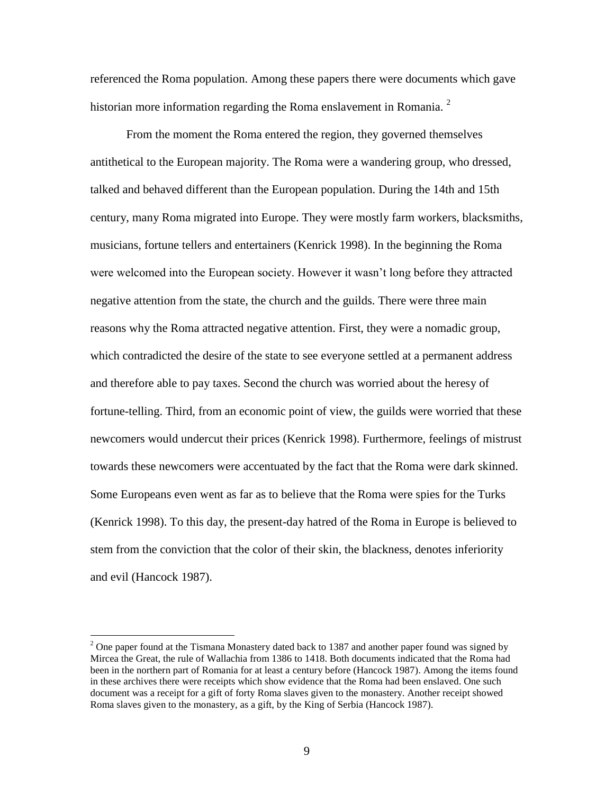referenced the Roma population. Among these papers there were documents which gave historian more information regarding the Roma enslavement in Romania.  $2^2$ 

From the moment the Roma entered the region, they governed themselves antithetical to the European majority. The Roma were a wandering group, who dressed, talked and behaved different than the European population. During the 14th and 15th century, many Roma migrated into Europe. They were mostly farm workers, blacksmiths, musicians, fortune tellers and entertainers (Kenrick 1998). In the beginning the Roma were welcomed into the European society. However it wasn"t long before they attracted negative attention from the state, the church and the guilds. There were three main reasons why the Roma attracted negative attention. First, they were a nomadic group, which contradicted the desire of the state to see everyone settled at a permanent address and therefore able to pay taxes. Second the church was worried about the heresy of fortune-telling. Third, from an economic point of view, the guilds were worried that these newcomers would undercut their prices (Kenrick 1998). Furthermore, feelings of mistrust towards these newcomers were accentuated by the fact that the Roma were dark skinned. Some Europeans even went as far as to believe that the Roma were spies for the Turks (Kenrick 1998). To this day, the present-day hatred of the Roma in Europe is believed to stem from the conviction that the color of their skin, the blackness, denotes inferiority and evil (Hancock 1987).

 $2$  One paper found at the Tismana Monastery dated back to 1387 and another paper found was signed by Mircea the Great, the rule of Wallachia from 1386 to 1418. Both documents indicated that the Roma had been in the northern part of Romania for at least a century before (Hancock 1987). Among the items found in these archives there were receipts which show evidence that the Roma had been enslaved. One such document was a receipt for a gift of forty Roma slaves given to the monastery. Another receipt showed Roma slaves given to the monastery, as a gift, by the King of Serbia (Hancock 1987).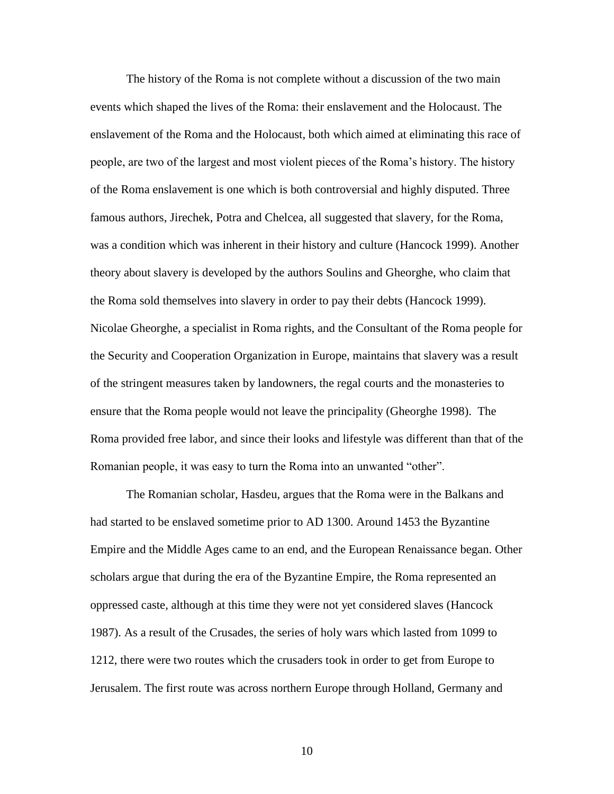The history of the Roma is not complete without a discussion of the two main events which shaped the lives of the Roma: their enslavement and the Holocaust. The enslavement of the Roma and the Holocaust, both which aimed at eliminating this race of people, are two of the largest and most violent pieces of the Roma"s history. The history of the Roma enslavement is one which is both controversial and highly disputed. Three famous authors, Jirechek, Potra and Chelcea, all suggested that slavery, for the Roma, was a condition which was inherent in their history and culture (Hancock 1999). Another theory about slavery is developed by the authors Soulins and Gheorghe, who claim that the Roma sold themselves into slavery in order to pay their debts (Hancock 1999). Nicolae Gheorghe, a specialist in Roma rights, and the Consultant of the Roma people for the Security and Cooperation Organization in Europe, maintains that slavery was a result of the stringent measures taken by landowners, the regal courts and the monasteries to ensure that the Roma people would not leave the principality (Gheorghe 1998). The Roma provided free labor, and since their looks and lifestyle was different than that of the Romanian people, it was easy to turn the Roma into an unwanted "other".

The Romanian scholar, Hasdeu, argues that the Roma were in the Balkans and had started to be enslaved sometime prior to AD 1300. Around 1453 the Byzantine Empire and the Middle Ages came to an end, and the European Renaissance began. Other scholars argue that during the era of the Byzantine Empire, the Roma represented an oppressed caste, although at this time they were not yet considered slaves (Hancock 1987). As a result of the Crusades, the series of holy wars which lasted from 1099 to 1212, there were two routes which the crusaders took in order to get from Europe to Jerusalem. The first route was across northern Europe through Holland, Germany and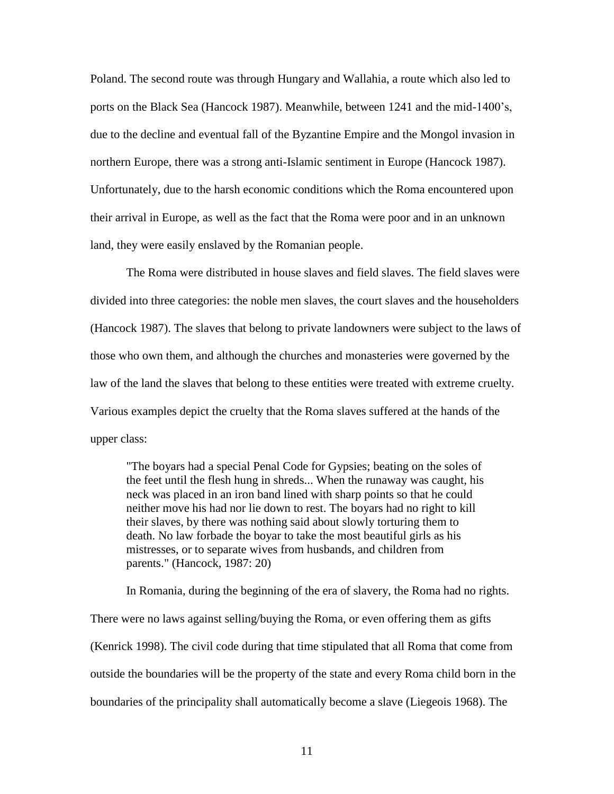Poland. The second route was through Hungary and Wallahia, a route which also led to ports on the Black Sea (Hancock 1987). Meanwhile, between 1241 and the mid-1400"s, due to the decline and eventual fall of the Byzantine Empire and the Mongol invasion in northern Europe, there was a strong anti-Islamic sentiment in Europe (Hancock 1987). Unfortunately, due to the harsh economic conditions which the Roma encountered upon their arrival in Europe, as well as the fact that the Roma were poor and in an unknown land, they were easily enslaved by the Romanian people.

The Roma were distributed in house slaves and field slaves. The field slaves were divided into three categories: the noble men slaves, the court slaves and the householders (Hancock 1987). The slaves that belong to private landowners were subject to the laws of those who own them, and although the churches and monasteries were governed by the law of the land the slaves that belong to these entities were treated with extreme cruelty. Various examples depict the cruelty that the Roma slaves suffered at the hands of the upper class:

"The boyars had a special Penal Code for Gypsies; beating on the soles of the feet until the flesh hung in shreds... When the runaway was caught, his neck was placed in an iron band lined with sharp points so that he could neither move his had nor lie down to rest. The boyars had no right to kill their slaves, by there was nothing said about slowly torturing them to death. No law forbade the boyar to take the most beautiful girls as his mistresses, or to separate wives from husbands, and children from parents." (Hancock, 1987: 20)

In Romania, during the beginning of the era of slavery, the Roma had no rights.

There were no laws against selling/buying the Roma, or even offering them as gifts (Kenrick 1998). The civil code during that time stipulated that all Roma that come from outside the boundaries will be the property of the state and every Roma child born in the boundaries of the principality shall automatically become a slave (Liegeois 1968). The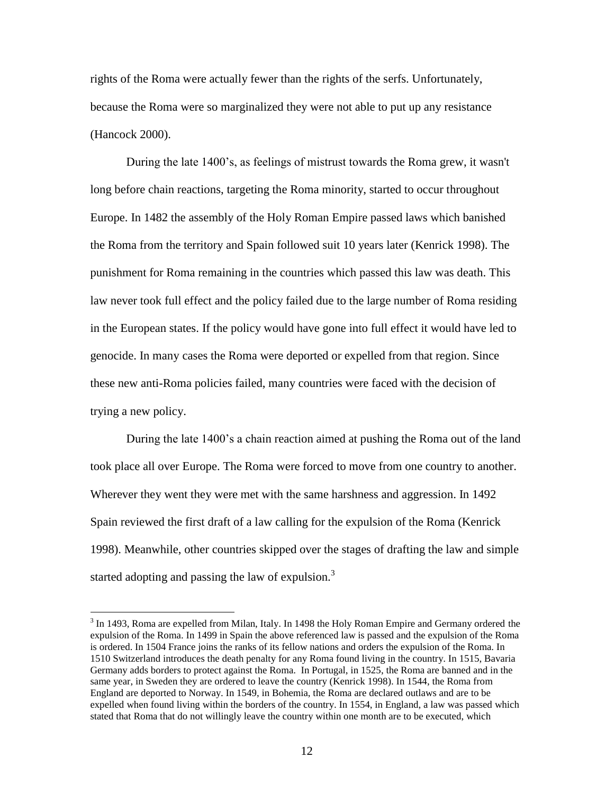rights of the Roma were actually fewer than the rights of the serfs. Unfortunately, because the Roma were so marginalized they were not able to put up any resistance (Hancock 2000).

During the late 1400"s, as feelings of mistrust towards the Roma grew, it wasn't long before chain reactions, targeting the Roma minority, started to occur throughout Europe. In 1482 the assembly of the Holy Roman Empire passed laws which banished the Roma from the territory and Spain followed suit 10 years later (Kenrick 1998). The punishment for Roma remaining in the countries which passed this law was death. This law never took full effect and the policy failed due to the large number of Roma residing in the European states. If the policy would have gone into full effect it would have led to genocide. In many cases the Roma were deported or expelled from that region. Since these new anti-Roma policies failed, many countries were faced with the decision of trying a new policy.

During the late 1400"s a chain reaction aimed at pushing the Roma out of the land took place all over Europe. The Roma were forced to move from one country to another. Wherever they went they were met with the same harshness and aggression. In 1492 Spain reviewed the first draft of a law calling for the expulsion of the Roma (Kenrick 1998). Meanwhile, other countries skipped over the stages of drafting the law and simple started adopting and passing the law of expulsion.<sup>3</sup>

 $3$  In 1493, Roma are expelled from Milan, Italy. In 1498 the Holy Roman Empire and Germany ordered the expulsion of the Roma. In 1499 in Spain the above referenced law is passed and the expulsion of the Roma is ordered. In 1504 France joins the ranks of its fellow nations and orders the expulsion of the Roma. In 1510 Switzerland introduces the death penalty for any Roma found living in the country. In 1515, Bavaria Germany adds borders to protect against the Roma. In Portugal, in 1525, the Roma are banned and in the same year, in Sweden they are ordered to leave the country (Kenrick 1998). In 1544, the Roma from England are deported to Norway. In 1549, in Bohemia, the Roma are declared outlaws and are to be expelled when found living within the borders of the country. In 1554, in England, a law was passed which stated that Roma that do not willingly leave the country within one month are to be executed, which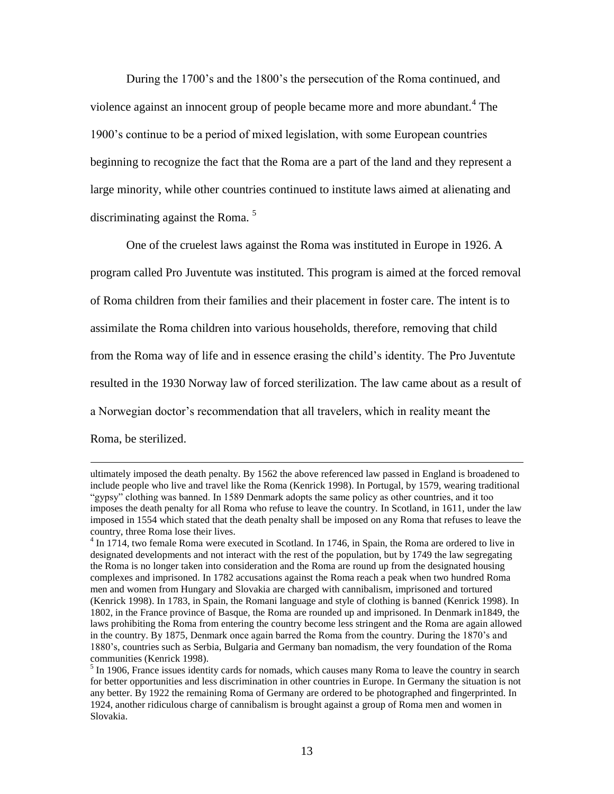During the 1700"s and the 1800"s the persecution of the Roma continued, and violence against an innocent group of people became more and more abundant.<sup>4</sup> The 1900"s continue to be a period of mixed legislation, with some European countries beginning to recognize the fact that the Roma are a part of the land and they represent a large minority, while other countries continued to institute laws aimed at alienating and discriminating against the Roma.  $5$ 

One of the cruelest laws against the Roma was instituted in Europe in 1926. A program called Pro Juventute was instituted. This program is aimed at the forced removal of Roma children from their families and their placement in foster care. The intent is to assimilate the Roma children into various households, therefore, removing that child from the Roma way of life and in essence erasing the child"s identity. The Pro Juventute resulted in the 1930 Norway law of forced sterilization. The law came about as a result of a Norwegian doctor's recommendation that all travelers, which in reality meant the Roma, be sterilized.

ultimately imposed the death penalty. By 1562 the above referenced law passed in England is broadened to include people who live and travel like the Roma (Kenrick 1998). In Portugal, by 1579, wearing traditional "gypsy" clothing was banned. In 1589 Denmark adopts the same policy as other countries, and it too imposes the death penalty for all Roma who refuse to leave the country. In Scotland, in 1611, under the law imposed in 1554 which stated that the death penalty shall be imposed on any Roma that refuses to leave the country, three Roma lose their lives.

<sup>&</sup>lt;sup>4</sup> In 1714, two female Roma were executed in Scotland. In 1746, in Spain, the Roma are ordered to live in designated developments and not interact with the rest of the population, but by 1749 the law segregating the Roma is no longer taken into consideration and the Roma are round up from the designated housing complexes and imprisoned. In 1782 accusations against the Roma reach a peak when two hundred Roma men and women from Hungary and Slovakia are charged with cannibalism, imprisoned and tortured (Kenrick 1998). In 1783, in Spain, the Romani language and style of clothing is banned (Kenrick 1998). In 1802, in the France province of Basque, the Roma are rounded up and imprisoned. In Denmark in1849, the laws prohibiting the Roma from entering the country become less stringent and the Roma are again allowed in the country. By 1875, Denmark once again barred the Roma from the country. During the 1870"s and 1880"s, countries such as Serbia, Bulgaria and Germany ban nomadism, the very foundation of the Roma communities (Kenrick 1998).

 $<sup>5</sup>$  In 1906, France issues identity cards for nomads, which causes many Roma to leave the country in search</sup> for better opportunities and less discrimination in other countries in Europe. In Germany the situation is not any better. By 1922 the remaining Roma of Germany are ordered to be photographed and fingerprinted. In 1924, another ridiculous charge of cannibalism is brought against a group of Roma men and women in Slovakia.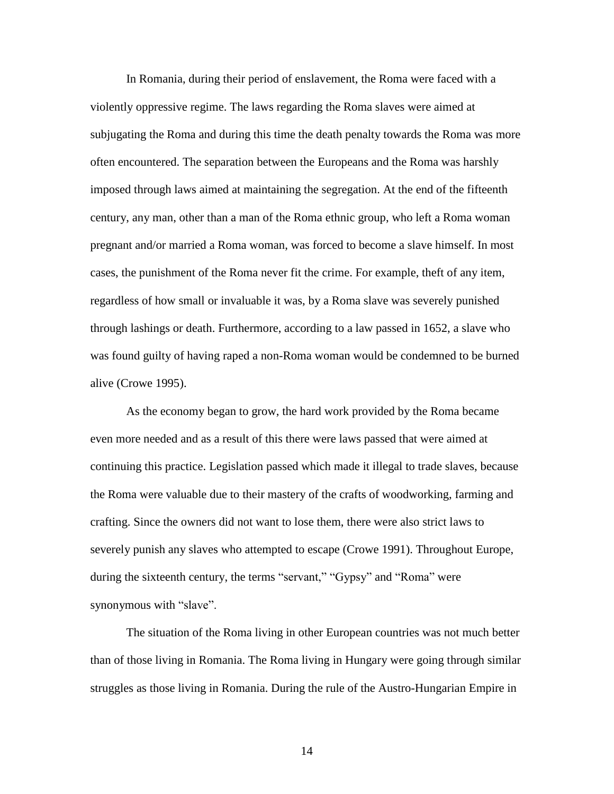In Romania, during their period of enslavement, the Roma were faced with a violently oppressive regime. The laws regarding the Roma slaves were aimed at subjugating the Roma and during this time the death penalty towards the Roma was more often encountered. The separation between the Europeans and the Roma was harshly imposed through laws aimed at maintaining the segregation. At the end of the fifteenth century, any man, other than a man of the Roma ethnic group, who left a Roma woman pregnant and/or married a Roma woman, was forced to become a slave himself. In most cases, the punishment of the Roma never fit the crime. For example, theft of any item, regardless of how small or invaluable it was, by a Roma slave was severely punished through lashings or death. Furthermore, according to a law passed in 1652, a slave who was found guilty of having raped a non-Roma woman would be condemned to be burned alive (Crowe 1995).

As the economy began to grow, the hard work provided by the Roma became even more needed and as a result of this there were laws passed that were aimed at continuing this practice. Legislation passed which made it illegal to trade slaves, because the Roma were valuable due to their mastery of the crafts of woodworking, farming and crafting. Since the owners did not want to lose them, there were also strict laws to severely punish any slaves who attempted to escape (Crowe 1991). Throughout Europe, during the sixteenth century, the terms "servant," "Gypsy" and "Roma" were synonymous with "slave".

The situation of the Roma living in other European countries was not much better than of those living in Romania. The Roma living in Hungary were going through similar struggles as those living in Romania. During the rule of the Austro-Hungarian Empire in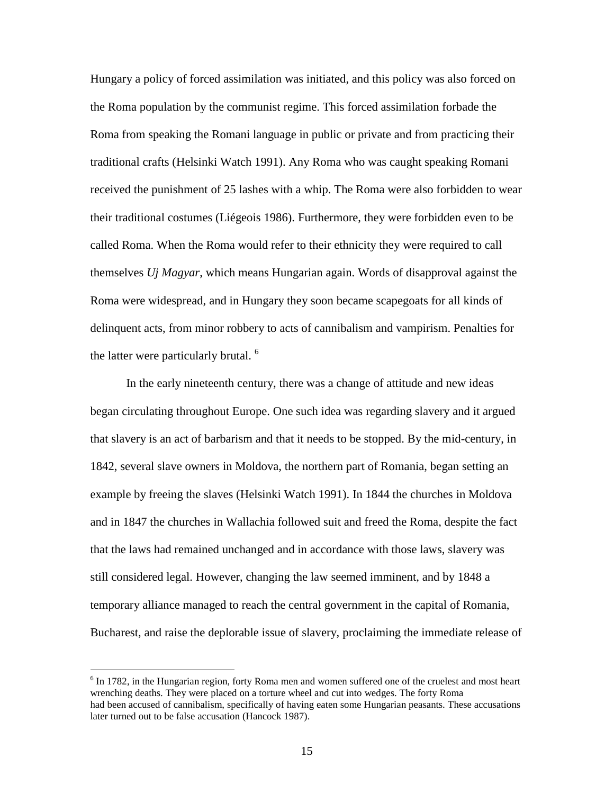Hungary a policy of forced assimilation was initiated, and this policy was also forced on the Roma population by the communist regime. This forced assimilation forbade the Roma from speaking the Romani language in public or private and from practicing their traditional crafts (Helsinki Watch 1991). Any Roma who was caught speaking Romani received the punishment of 25 lashes with a whip. The Roma were also forbidden to wear their traditional costumes (Liégeois 1986). Furthermore, they were forbidden even to be called Roma. When the Roma would refer to their ethnicity they were required to call themselves *Uj Magyar*, which means Hungarian again. Words of disapproval against the Roma were widespread, and in Hungary they soon became scapegoats for all kinds of delinquent acts, from minor robbery to acts of cannibalism and vampirism. Penalties for the latter were particularly brutal.<sup>6</sup>

In the early nineteenth century, there was a change of attitude and new ideas began circulating throughout Europe. One such idea was regarding slavery and it argued that slavery is an act of barbarism and that it needs to be stopped. By the mid-century, in 1842, several slave owners in Moldova, the northern part of Romania, began setting an example by freeing the slaves (Helsinki Watch 1991). In 1844 the churches in Moldova and in 1847 the churches in Wallachia followed suit and freed the Roma, despite the fact that the laws had remained unchanged and in accordance with those laws, slavery was still considered legal. However, changing the law seemed imminent, and by 1848 a temporary alliance managed to reach the central government in the capital of Romania, Bucharest, and raise the deplorable issue of slavery, proclaiming the immediate release of

 $6$  In 1782, in the Hungarian region, forty Roma men and women suffered one of the cruelest and most heart wrenching deaths. They were placed on a torture wheel and cut into wedges. The forty Roma had been accused of cannibalism, specifically of having eaten some Hungarian peasants. These accusations later turned out to be false accusation (Hancock 1987).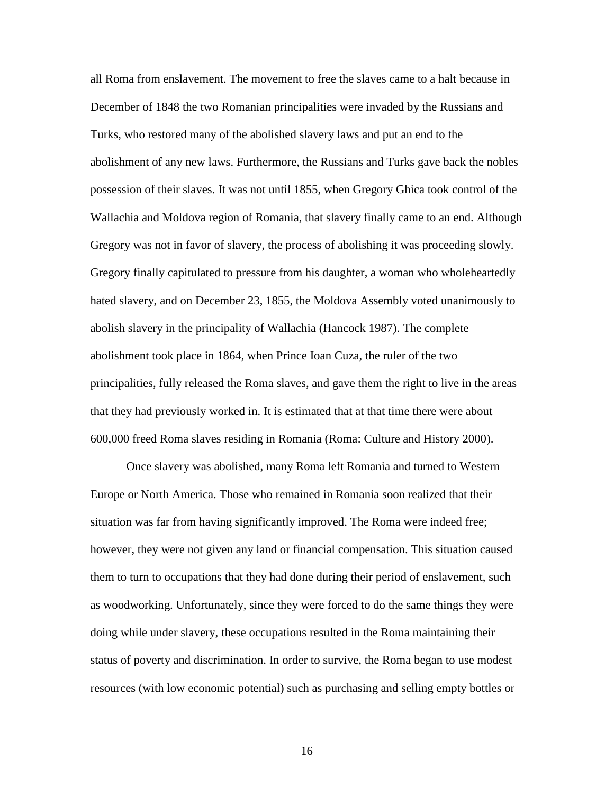all Roma from enslavement. The movement to free the slaves came to a halt because in December of 1848 the two Romanian principalities were invaded by the Russians and Turks, who restored many of the abolished slavery laws and put an end to the abolishment of any new laws. Furthermore, the Russians and Turks gave back the nobles possession of their slaves. It was not until 1855, when Gregory Ghica took control of the Wallachia and Moldova region of Romania, that slavery finally came to an end. Although Gregory was not in favor of slavery, the process of abolishing it was proceeding slowly. Gregory finally capitulated to pressure from his daughter, a woman who wholeheartedly hated slavery, and on December 23, 1855, the Moldova Assembly voted unanimously to abolish slavery in the principality of Wallachia (Hancock 1987). The complete abolishment took place in 1864, when Prince Ioan Cuza, the ruler of the two principalities, fully released the Roma slaves, and gave them the right to live in the areas that they had previously worked in. It is estimated that at that time there were about 600,000 freed Roma slaves residing in Romania (Roma: Culture and History 2000).

Once slavery was abolished, many Roma left Romania and turned to Western Europe or North America. Those who remained in Romania soon realized that their situation was far from having significantly improved. The Roma were indeed free; however, they were not given any land or financial compensation. This situation caused them to turn to occupations that they had done during their period of enslavement, such as woodworking. Unfortunately, since they were forced to do the same things they were doing while under slavery, these occupations resulted in the Roma maintaining their status of poverty and discrimination. In order to survive, the Roma began to use modest resources (with low economic potential) such as purchasing and selling empty bottles or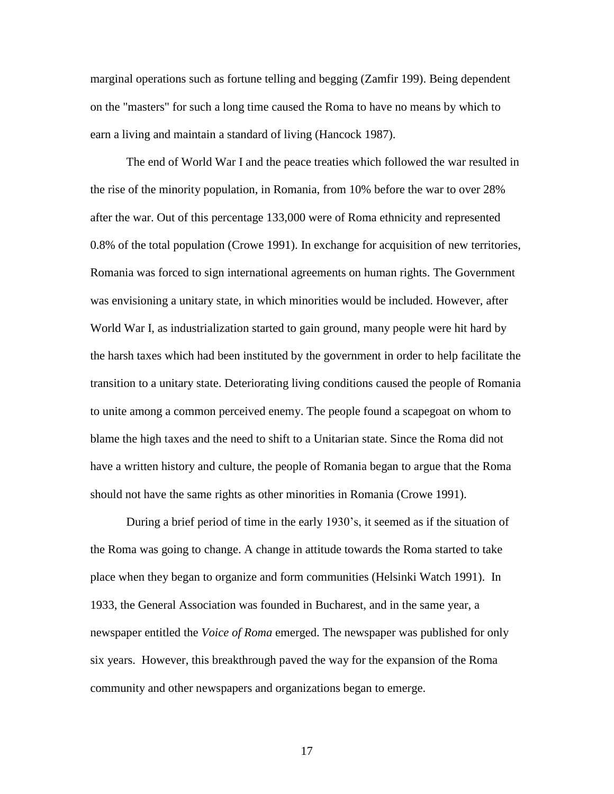marginal operations such as fortune telling and begging (Zamfir 199). Being dependent on the "masters" for such a long time caused the Roma to have no means by which to earn a living and maintain a standard of living (Hancock 1987).

The end of World War I and the peace treaties which followed the war resulted in the rise of the minority population, in Romania, from 10% before the war to over 28% after the war. Out of this percentage 133,000 were of Roma ethnicity and represented 0.8% of the total population (Crowe 1991). In exchange for acquisition of new territories, Romania was forced to sign international agreements on human rights. The Government was envisioning a unitary state, in which minorities would be included. However, after World War I, as industrialization started to gain ground, many people were hit hard by the harsh taxes which had been instituted by the government in order to help facilitate the transition to a unitary state. Deteriorating living conditions caused the people of Romania to unite among a common perceived enemy. The people found a scapegoat on whom to blame the high taxes and the need to shift to a Unitarian state. Since the Roma did not have a written history and culture, the people of Romania began to argue that the Roma should not have the same rights as other minorities in Romania (Crowe 1991).

During a brief period of time in the early 1930"s, it seemed as if the situation of the Roma was going to change. A change in attitude towards the Roma started to take place when they began to organize and form communities (Helsinki Watch 1991). In 1933, the General Association was founded in Bucharest, and in the same year, a newspaper entitled the *Voice of Roma* emerged. The newspaper was published for only six years. However, this breakthrough paved the way for the expansion of the Roma community and other newspapers and organizations began to emerge.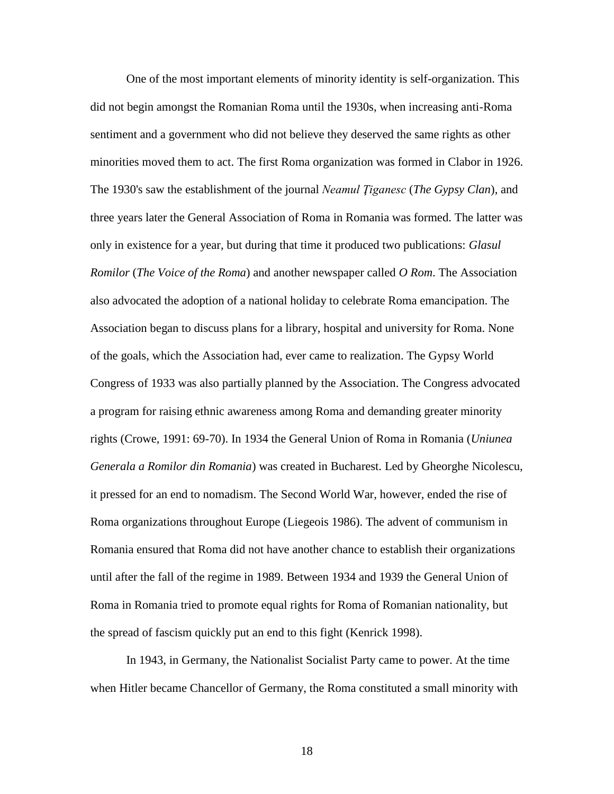One of the most important elements of minority identity is self-organization. This did not begin amongst the Romanian Roma until the 1930s, when increasing anti-Roma sentiment and a government who did not believe they deserved the same rights as other minorities moved them to act. The first Roma organization was formed in Clabor in 1926. The 1930's saw the establishment of the journal *Neamul Ţiganesc* (*The Gypsy Clan*), and three years later the General Association of Roma in Romania was formed. The latter was only in existence for a year, but during that time it produced two publications: *Glasul Romilor* (*The Voice of the Roma*) and another newspaper called *O Rom*. The Association also advocated the adoption of a national holiday to celebrate Roma emancipation. The Association began to discuss plans for a library, hospital and university for Roma. None of the goals, which the Association had, ever came to realization. The Gypsy World Congress of 1933 was also partially planned by the Association. The Congress advocated a program for raising ethnic awareness among Roma and demanding greater minority rights (Crowe, 1991: 69-70). In 1934 the General Union of Roma in Romania (*Uniunea Generala a Romilor din Romania*) was created in Bucharest. Led by Gheorghe Nicolescu, it pressed for an end to nomadism. The Second World War, however, ended the rise of Roma organizations throughout Europe (Liegeois 1986). The advent of communism in Romania ensured that Roma did not have another chance to establish their organizations until after the fall of the regime in 1989. Between 1934 and 1939 the General Union of Roma in Romania tried to promote equal rights for Roma of Romanian nationality, but the spread of fascism quickly put an end to this fight (Kenrick 1998).

In 1943, in Germany, the Nationalist Socialist Party came to power. At the time when Hitler became Chancellor of Germany, the Roma constituted a small minority with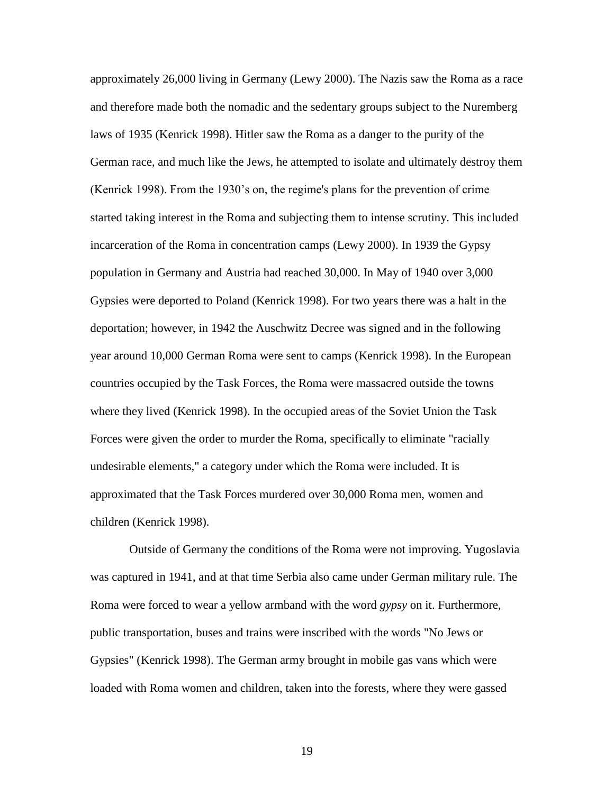approximately 26,000 living in Germany (Lewy 2000). The Nazis saw the Roma as a race and therefore made both the nomadic and the sedentary groups subject to the Nuremberg laws of 1935 (Kenrick 1998). Hitler saw the Roma as a danger to the purity of the German race, and much like the Jews, he attempted to isolate and ultimately destroy them (Kenrick 1998). From the 1930"s on, the regime's plans for the prevention of crime started taking interest in the Roma and subjecting them to intense scrutiny. This included incarceration of the Roma in concentration camps (Lewy 2000). In 1939 the Gypsy population in Germany and Austria had reached 30,000. In May of 1940 over 3,000 Gypsies were deported to Poland (Kenrick 1998). For two years there was a halt in the deportation; however, in 1942 the Auschwitz Decree was signed and in the following year around 10,000 German Roma were sent to camps (Kenrick 1998). In the European countries occupied by the Task Forces, the Roma were massacred outside the towns where they lived (Kenrick 1998). In the occupied areas of the Soviet Union the Task Forces were given the order to murder the Roma, specifically to eliminate "racially undesirable elements," a category under which the Roma were included. It is approximated that the Task Forces murdered over 30,000 Roma men, women and children (Kenrick 1998).

Outside of Germany the conditions of the Roma were not improving. Yugoslavia was captured in 1941, and at that time Serbia also came under German military rule. The Roma were forced to wear a yellow armband with the word *gypsy* on it. Furthermore, public transportation, buses and trains were inscribed with the words "No Jews or Gypsies" (Kenrick 1998). The German army brought in mobile gas vans which were loaded with Roma women and children, taken into the forests, where they were gassed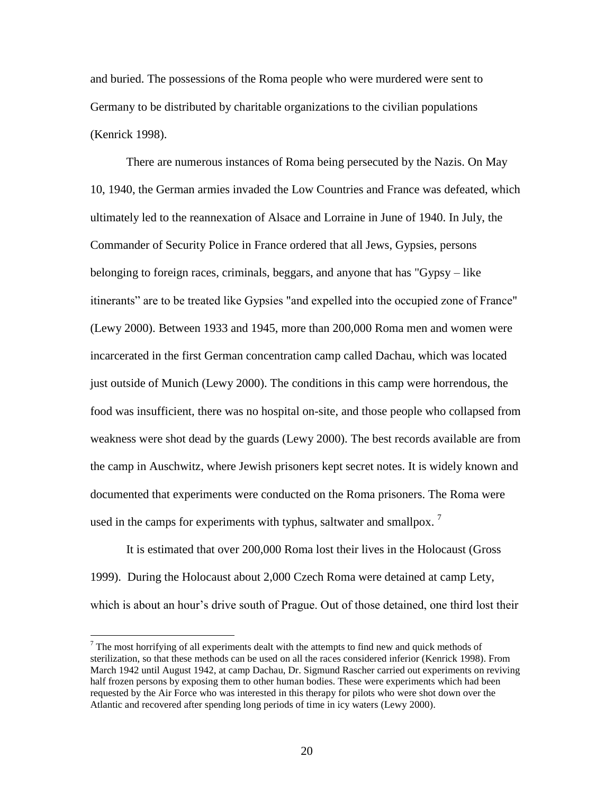and buried. The possessions of the Roma people who were murdered were sent to Germany to be distributed by charitable organizations to the civilian populations (Kenrick 1998).

There are numerous instances of Roma being persecuted by the Nazis. On May 10, 1940, the German armies invaded the Low Countries and France was defeated, which ultimately led to the reannexation of Alsace and Lorraine in June of 1940. In July, the Commander of Security Police in France ordered that all Jews, Gypsies, persons belonging to foreign races, criminals, beggars, and anyone that has "Gypsy – like itinerants" are to be treated like Gypsies "and expelled into the occupied zone of France" (Lewy 2000). Between 1933 and 1945, more than 200,000 Roma men and women were incarcerated in the first German concentration camp called Dachau, which was located just outside of Munich (Lewy 2000). The conditions in this camp were horrendous, the food was insufficient, there was no hospital on-site, and those people who collapsed from weakness were shot dead by the guards (Lewy 2000). The best records available are from the camp in Auschwitz, where Jewish prisoners kept secret notes. It is widely known and documented that experiments were conducted on the Roma prisoners. The Roma were used in the camps for experiments with typhus, saltwater and smallpox.  $\frac{7}{1}$ 

It is estimated that over 200,000 Roma lost their lives in the Holocaust (Gross 1999). During the Holocaust about 2,000 Czech Roma were detained at camp Lety, which is about an hour's drive south of Prague. Out of those detained, one third lost their

 $<sup>7</sup>$  The most horrifying of all experiments dealt with the attempts to find new and quick methods of</sup> sterilization, so that these methods can be used on all the races considered inferior (Kenrick 1998). From March 1942 until August 1942, at camp Dachau, Dr. Sigmund Rascher carried out experiments on reviving half frozen persons by exposing them to other human bodies. These were experiments which had been requested by the Air Force who was interested in this therapy for pilots who were shot down over the Atlantic and recovered after spending long periods of time in icy waters (Lewy 2000).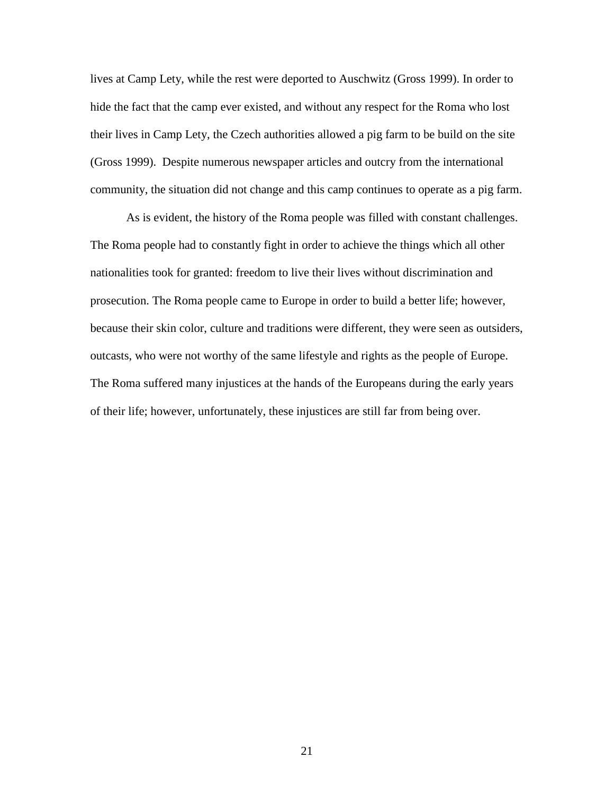lives at Camp Lety, while the rest were deported to Auschwitz (Gross 1999). In order to hide the fact that the camp ever existed, and without any respect for the Roma who lost their lives in Camp Lety, the Czech authorities allowed a pig farm to be build on the site (Gross 1999). Despite numerous newspaper articles and outcry from the international community, the situation did not change and this camp continues to operate as a pig farm.

As is evident, the history of the Roma people was filled with constant challenges. The Roma people had to constantly fight in order to achieve the things which all other nationalities took for granted: freedom to live their lives without discrimination and prosecution. The Roma people came to Europe in order to build a better life; however, because their skin color, culture and traditions were different, they were seen as outsiders, outcasts, who were not worthy of the same lifestyle and rights as the people of Europe. The Roma suffered many injustices at the hands of the Europeans during the early years of their life; however, unfortunately, these injustices are still far from being over.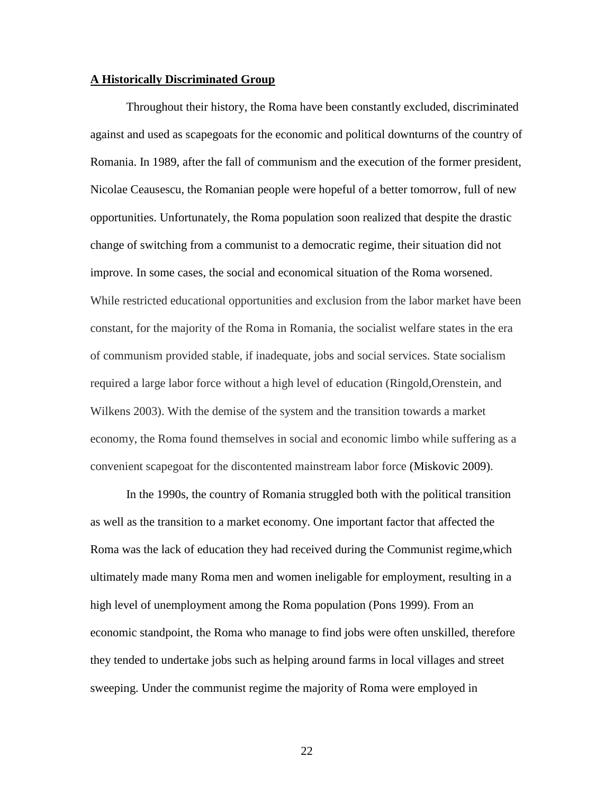#### **A Historically Discriminated Group**

Throughout their history, the Roma have been constantly excluded, discriminated against and used as scapegoats for the economic and political downturns of the country of Romania. In 1989, after the fall of communism and the execution of the former president, Nicolae Ceausescu, the Romanian people were hopeful of a better tomorrow, full of new opportunities. Unfortunately, the Roma population soon realized that despite the drastic change of switching from a communist to a democratic regime, their situation did not improve. In some cases, the social and economical situation of the Roma worsened. While restricted educational opportunities and exclusion from the labor market have been constant, for the majority of the Roma in Romania, the socialist welfare states in the era of communism provided stable, if inadequate, jobs and social services. State socialism required a large labor force without a high level of education (Ringold,Orenstein, and Wilkens 2003). With the demise of the system and the transition towards a market economy, the Roma found themselves in social and economic limbo while suffering as a convenient scapegoat for the discontented mainstream labor force (Miskovic 2009).

In the 1990s, the country of Romania struggled both with the political transition as well as the transition to a market economy. One important factor that affected the Roma was the lack of education they had received during the Communist regime,which ultimately made many Roma men and women ineligable for employment, resulting in a high level of unemployment among the Roma population (Pons 1999). From an economic standpoint, the Roma who manage to find jobs were often unskilled, therefore they tended to undertake jobs such as helping around farms in local villages and street sweeping. Under the communist regime the majority of Roma were employed in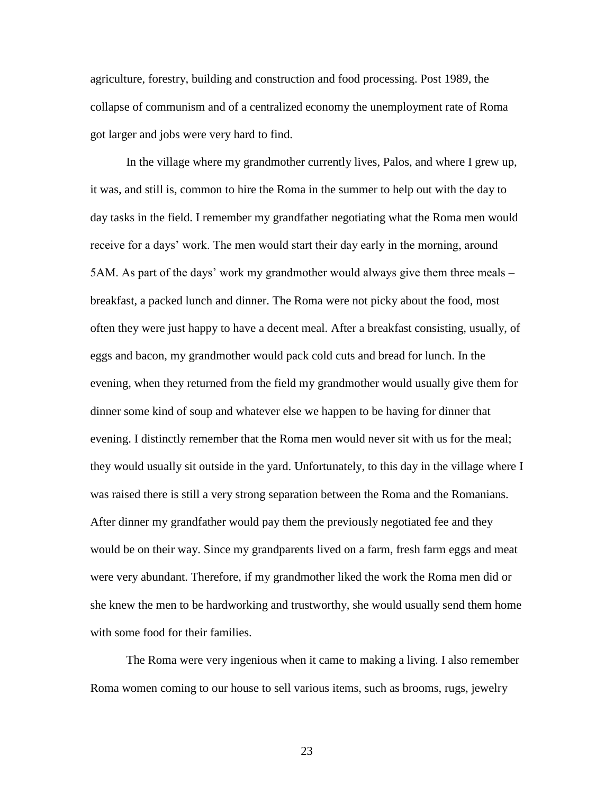agriculture, forestry, building and construction and food processing. Post 1989, the collapse of communism and of a centralized economy the unemployment rate of Roma got larger and jobs were very hard to find.

In the village where my grandmother currently lives, Palos, and where I grew up, it was, and still is, common to hire the Roma in the summer to help out with the day to day tasks in the field. I remember my grandfather negotiating what the Roma men would receive for a days' work. The men would start their day early in the morning, around 5AM. As part of the days" work my grandmother would always give them three meals – breakfast, a packed lunch and dinner. The Roma were not picky about the food, most often they were just happy to have a decent meal. After a breakfast consisting, usually, of eggs and bacon, my grandmother would pack cold cuts and bread for lunch. In the evening, when they returned from the field my grandmother would usually give them for dinner some kind of soup and whatever else we happen to be having for dinner that evening. I distinctly remember that the Roma men would never sit with us for the meal; they would usually sit outside in the yard. Unfortunately, to this day in the village where I was raised there is still a very strong separation between the Roma and the Romanians. After dinner my grandfather would pay them the previously negotiated fee and they would be on their way. Since my grandparents lived on a farm, fresh farm eggs and meat were very abundant. Therefore, if my grandmother liked the work the Roma men did or she knew the men to be hardworking and trustworthy, she would usually send them home with some food for their families.

The Roma were very ingenious when it came to making a living. I also remember Roma women coming to our house to sell various items, such as brooms, rugs, jewelry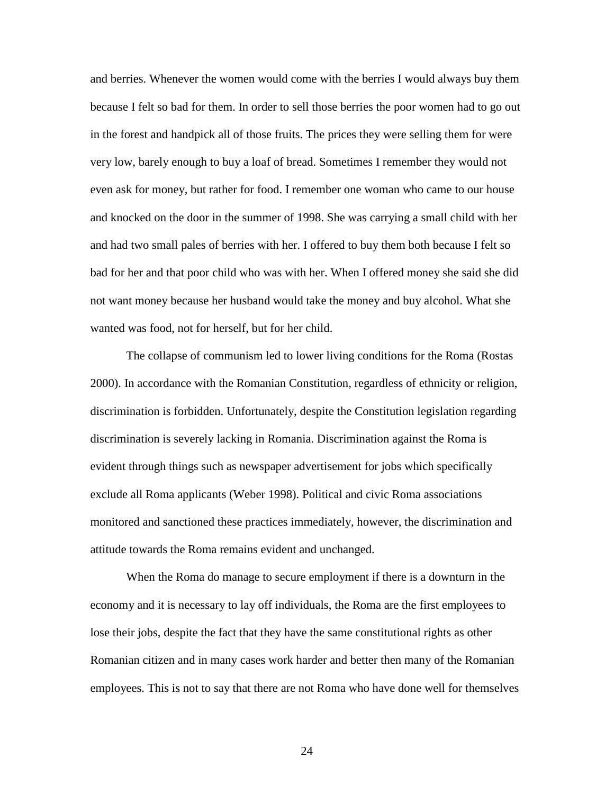and berries. Whenever the women would come with the berries I would always buy them because I felt so bad for them. In order to sell those berries the poor women had to go out in the forest and handpick all of those fruits. The prices they were selling them for were very low, barely enough to buy a loaf of bread. Sometimes I remember they would not even ask for money, but rather for food. I remember one woman who came to our house and knocked on the door in the summer of 1998. She was carrying a small child with her and had two small pales of berries with her. I offered to buy them both because I felt so bad for her and that poor child who was with her. When I offered money she said she did not want money because her husband would take the money and buy alcohol. What she wanted was food, not for herself, but for her child.

The collapse of communism led to lower living conditions for the Roma (Rostas 2000). In accordance with the Romanian Constitution, regardless of ethnicity or religion, discrimination is forbidden. Unfortunately, despite the Constitution legislation regarding discrimination is severely lacking in Romania. Discrimination against the Roma is evident through things such as newspaper advertisement for jobs which specifically exclude all Roma applicants (Weber 1998). Political and civic Roma associations monitored and sanctioned these practices immediately, however, the discrimination and attitude towards the Roma remains evident and unchanged.

When the Roma do manage to secure employment if there is a downturn in the economy and it is necessary to lay off individuals, the Roma are the first employees to lose their jobs, despite the fact that they have the same constitutional rights as other Romanian citizen and in many cases work harder and better then many of the Romanian employees. This is not to say that there are not Roma who have done well for themselves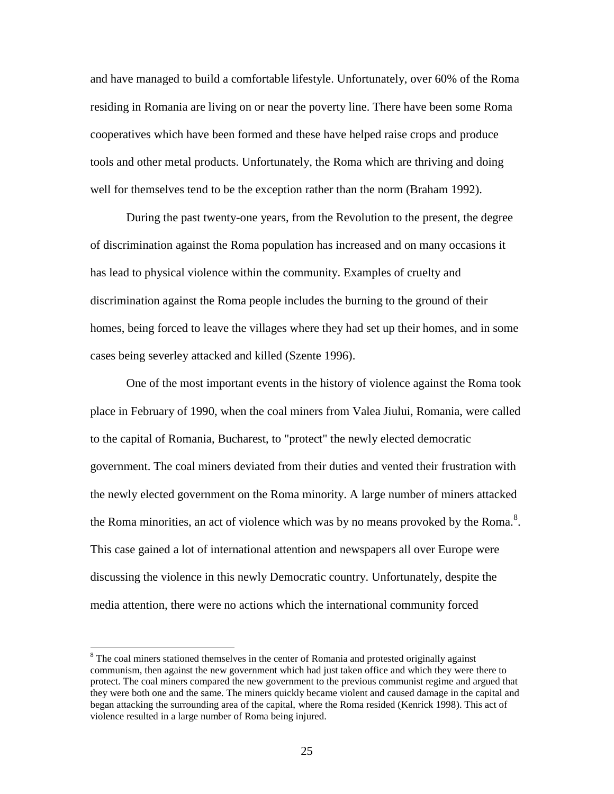and have managed to build a comfortable lifestyle. Unfortunately, over 60% of the Roma residing in Romania are living on or near the poverty line. There have been some Roma cooperatives which have been formed and these have helped raise crops and produce tools and other metal products. Unfortunately, the Roma which are thriving and doing well for themselves tend to be the exception rather than the norm (Braham 1992).

During the past twenty-one years, from the Revolution to the present, the degree of discrimination against the Roma population has increased and on many occasions it has lead to physical violence within the community. Examples of cruelty and discrimination against the Roma people includes the burning to the ground of their homes, being forced to leave the villages where they had set up their homes, and in some cases being severley attacked and killed (Szente 1996).

One of the most important events in the history of violence against the Roma took place in February of 1990, when the coal miners from Valea Jiului, Romania, were called to the capital of Romania, Bucharest, to "protect" the newly elected democratic government. The coal miners deviated from their duties and vented their frustration with the newly elected government on the Roma minority. A large number of miners attacked the Roma minorities, an act of violence which was by no means provoked by the Roma.<sup>8</sup>. This case gained a lot of international attention and newspapers all over Europe were discussing the violence in this newly Democratic country. Unfortunately, despite the media attention, there were no actions which the international community forced

<sup>&</sup>lt;sup>8</sup> The coal miners stationed themselves in the center of Romania and protested originally against communism, then against the new government which had just taken office and which they were there to protect. The coal miners compared the new government to the previous communist regime and argued that they were both one and the same. The miners quickly became violent and caused damage in the capital and began attacking the surrounding area of the capital, where the Roma resided (Kenrick 1998). This act of violence resulted in a large number of Roma being injured.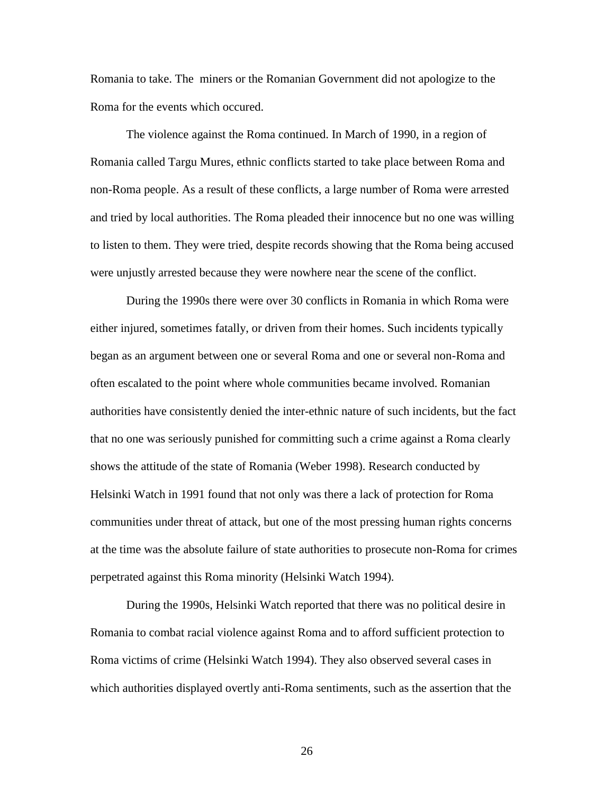Romania to take. The miners or the Romanian Government did not apologize to the Roma for the events which occured.

The violence against the Roma continued. In March of 1990, in a region of Romania called Targu Mures, ethnic conflicts started to take place between Roma and non-Roma people. As a result of these conflicts, a large number of Roma were arrested and tried by local authorities. The Roma pleaded their innocence but no one was willing to listen to them. They were tried, despite records showing that the Roma being accused were unjustly arrested because they were nowhere near the scene of the conflict.

During the 1990s there were over 30 conflicts in Romania in which Roma were either injured, sometimes fatally, or driven from their homes. Such incidents typically began as an argument between one or several Roma and one or several non-Roma and often escalated to the point where whole communities became involved. Romanian authorities have consistently denied the inter-ethnic nature of such incidents, but the fact that no one was seriously punished for committing such a crime against a Roma clearly shows the attitude of the state of Romania (Weber 1998). Research conducted by Helsinki Watch in 1991 found that not only was there a lack of protection for Roma communities under threat of attack, but one of the most pressing human rights concerns at the time was the absolute failure of state authorities to prosecute non-Roma for crimes perpetrated against this Roma minority (Helsinki Watch 1994).

During the 1990s, Helsinki Watch reported that there was no political desire in Romania to combat racial violence against Roma and to afford sufficient protection to Roma victims of crime (Helsinki Watch 1994). They also observed several cases in which authorities displayed overtly anti-Roma sentiments, such as the assertion that the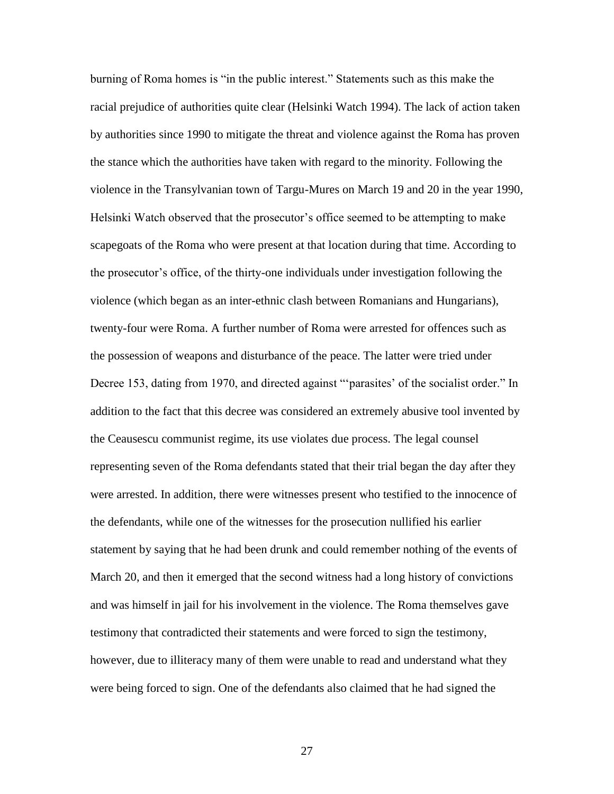burning of Roma homes is "in the public interest." Statements such as this make the racial prejudice of authorities quite clear (Helsinki Watch 1994). The lack of action taken by authorities since 1990 to mitigate the threat and violence against the Roma has proven the stance which the authorities have taken with regard to the minority. Following the violence in the Transylvanian town of Targu-Mures on March 19 and 20 in the year 1990, Helsinki Watch observed that the prosecutor"s office seemed to be attempting to make scapegoats of the Roma who were present at that location during that time. According to the prosecutor"s office, of the thirty-one individuals under investigation following the violence (which began as an inter-ethnic clash between Romanians and Hungarians), twenty-four were Roma. A further number of Roma were arrested for offences such as the possession of weapons and disturbance of the peace. The latter were tried under Decree 153, dating from 1970, and directed against ""parasites' of the socialist order." In addition to the fact that this decree was considered an extremely abusive tool invented by the Ceausescu communist regime, its use violates due process. The legal counsel representing seven of the Roma defendants stated that their trial began the day after they were arrested. In addition, there were witnesses present who testified to the innocence of the defendants, while one of the witnesses for the prosecution nullified his earlier statement by saying that he had been drunk and could remember nothing of the events of March 20, and then it emerged that the second witness had a long history of convictions and was himself in jail for his involvement in the violence. The Roma themselves gave testimony that contradicted their statements and were forced to sign the testimony, however, due to illiteracy many of them were unable to read and understand what they were being forced to sign. One of the defendants also claimed that he had signed the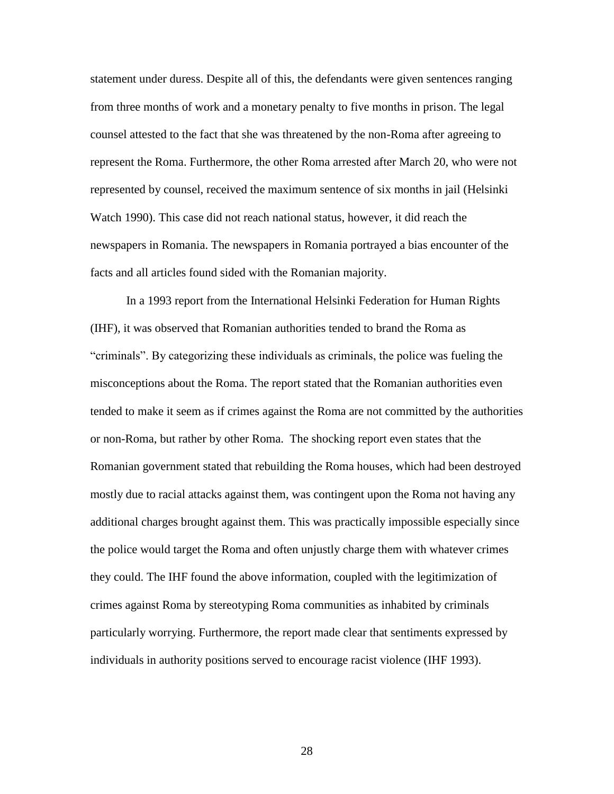statement under duress. Despite all of this, the defendants were given sentences ranging from three months of work and a monetary penalty to five months in prison. The legal counsel attested to the fact that she was threatened by the non-Roma after agreeing to represent the Roma. Furthermore, the other Roma arrested after March 20, who were not represented by counsel, received the maximum sentence of six months in jail (Helsinki Watch 1990). This case did not reach national status, however, it did reach the newspapers in Romania. The newspapers in Romania portrayed a bias encounter of the facts and all articles found sided with the Romanian majority.

In a 1993 report from the International Helsinki Federation for Human Rights (IHF), it was observed that Romanian authorities tended to brand the Roma as "criminals". By categorizing these individuals as criminals, the police was fueling the misconceptions about the Roma. The report stated that the Romanian authorities even tended to make it seem as if crimes against the Roma are not committed by the authorities or non-Roma, but rather by other Roma. The shocking report even states that the Romanian government stated that rebuilding the Roma houses, which had been destroyed mostly due to racial attacks against them, was contingent upon the Roma not having any additional charges brought against them. This was practically impossible especially since the police would target the Roma and often unjustly charge them with whatever crimes they could. The IHF found the above information, coupled with the legitimization of crimes against Roma by stereotyping Roma communities as inhabited by criminals particularly worrying. Furthermore, the report made clear that sentiments expressed by individuals in authority positions served to encourage racist violence (IHF 1993).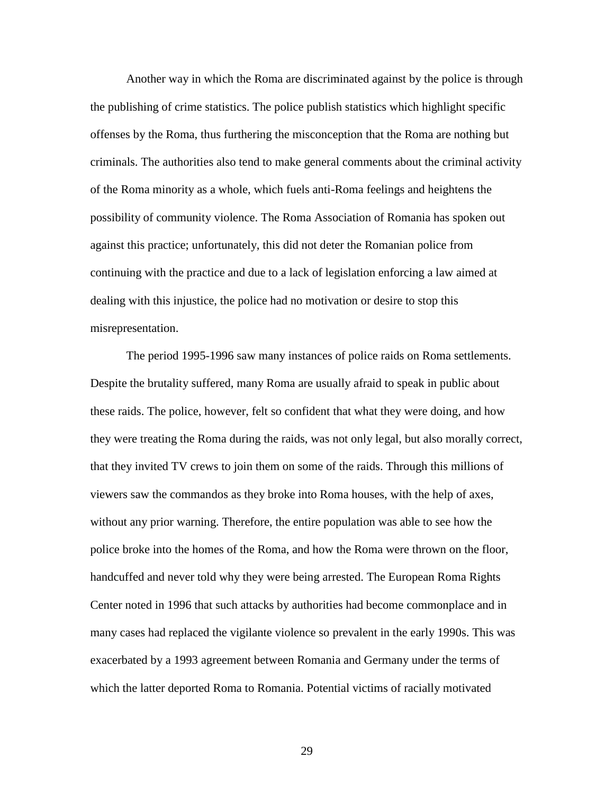Another way in which the Roma are discriminated against by the police is through the publishing of crime statistics. The police publish statistics which highlight specific offenses by the Roma, thus furthering the misconception that the Roma are nothing but criminals. The authorities also tend to make general comments about the criminal activity of the Roma minority as a whole, which fuels anti-Roma feelings and heightens the possibility of community violence. The Roma Association of Romania has spoken out against this practice; unfortunately, this did not deter the Romanian police from continuing with the practice and due to a lack of legislation enforcing a law aimed at dealing with this injustice, the police had no motivation or desire to stop this misrepresentation.

The period 1995-1996 saw many instances of police raids on Roma settlements. Despite the brutality suffered, many Roma are usually afraid to speak in public about these raids. The police, however, felt so confident that what they were doing, and how they were treating the Roma during the raids, was not only legal, but also morally correct, that they invited TV crews to join them on some of the raids. Through this millions of viewers saw the commandos as they broke into Roma houses, with the help of axes, without any prior warning. Therefore, the entire population was able to see how the police broke into the homes of the Roma, and how the Roma were thrown on the floor, handcuffed and never told why they were being arrested. The European Roma Rights Center noted in 1996 that such attacks by authorities had become commonplace and in many cases had replaced the vigilante violence so prevalent in the early 1990s. This was exacerbated by a 1993 agreement between Romania and Germany under the terms of which the latter deported Roma to Romania. Potential victims of racially motivated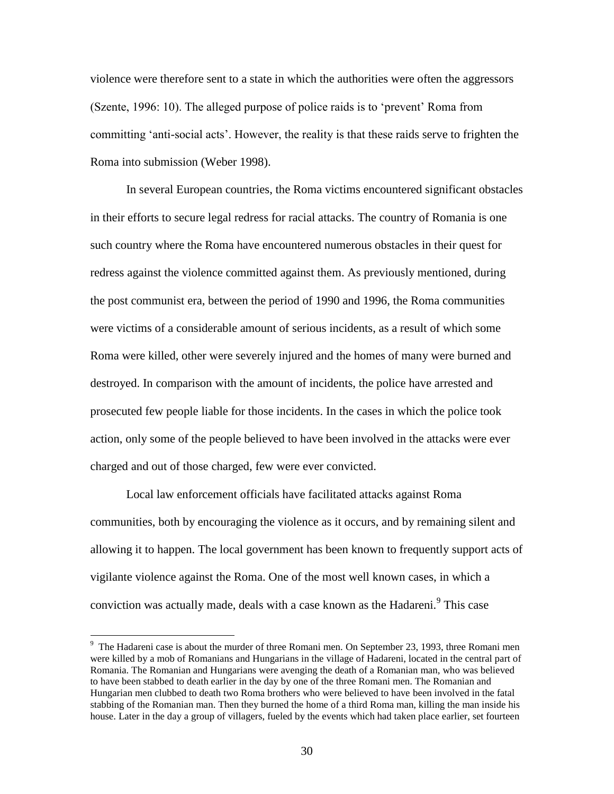violence were therefore sent to a state in which the authorities were often the aggressors (Szente, 1996: 10). The alleged purpose of police raids is to "prevent" Roma from committing "anti-social acts". However, the reality is that these raids serve to frighten the Roma into submission (Weber 1998).

In several European countries, the Roma victims encountered significant obstacles in their efforts to secure legal redress for racial attacks. The country of Romania is one such country where the Roma have encountered numerous obstacles in their quest for redress against the violence committed against them. As previously mentioned, during the post communist era, between the period of 1990 and 1996, the Roma communities were victims of a considerable amount of serious incidents, as a result of which some Roma were killed, other were severely injured and the homes of many were burned and destroyed. In comparison with the amount of incidents, the police have arrested and prosecuted few people liable for those incidents. In the cases in which the police took action, only some of the people believed to have been involved in the attacks were ever charged and out of those charged, few were ever convicted.

Local law enforcement officials have facilitated attacks against Roma communities, both by encouraging the violence as it occurs, and by remaining silent and allowing it to happen. The local government has been known to frequently support acts of vigilante violence against the Roma. One of the most well known cases, in which a conviction was actually made, deals with a case known as the Hadareni.<sup>9</sup> This case

<sup>&</sup>lt;sup>9</sup> The Hadareni case is about the murder of three Romani men. On September 23, 1993, three Romani men were killed by a mob of Romanians and Hungarians in the village of Hadareni, located in the central part of Romania. The Romanian and Hungarians were avenging the death of a Romanian man, who was believed to have been stabbed to death earlier in the day by one of the three Romani men. The Romanian and Hungarian men clubbed to death two Roma brothers who were believed to have been involved in the fatal stabbing of the Romanian man. Then they burned the home of a third Roma man, killing the man inside his house. Later in the day a group of villagers, fueled by the events which had taken place earlier, set fourteen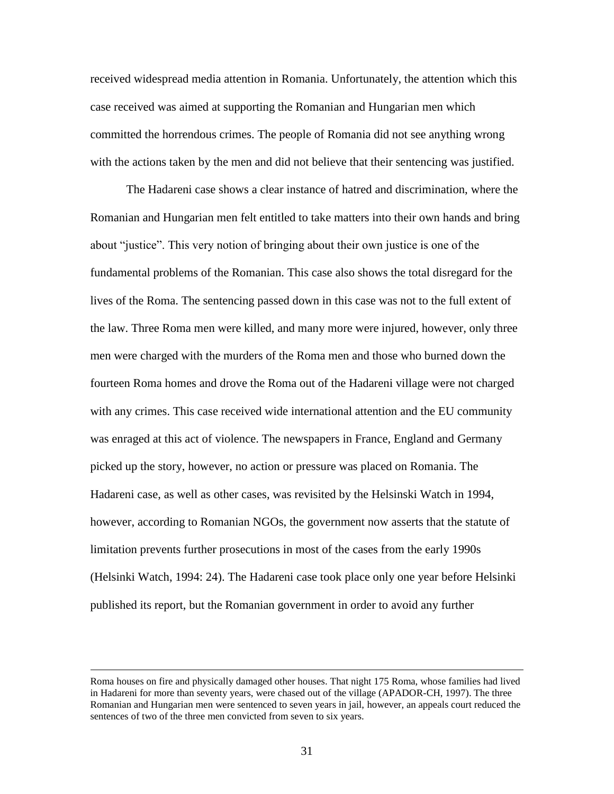received widespread media attention in Romania. Unfortunately, the attention which this case received was aimed at supporting the Romanian and Hungarian men which committed the horrendous crimes. The people of Romania did not see anything wrong with the actions taken by the men and did not believe that their sentencing was justified.

The Hadareni case shows a clear instance of hatred and discrimination, where the Romanian and Hungarian men felt entitled to take matters into their own hands and bring about "justice". This very notion of bringing about their own justice is one of the fundamental problems of the Romanian. This case also shows the total disregard for the lives of the Roma. The sentencing passed down in this case was not to the full extent of the law. Three Roma men were killed, and many more were injured, however, only three men were charged with the murders of the Roma men and those who burned down the fourteen Roma homes and drove the Roma out of the Hadareni village were not charged with any crimes. This case received wide international attention and the EU community was enraged at this act of violence. The newspapers in France, England and Germany picked up the story, however, no action or pressure was placed on Romania. The Hadareni case, as well as other cases, was revisited by the Helsinski Watch in 1994, however, according to Romanian NGOs, the government now asserts that the statute of limitation prevents further prosecutions in most of the cases from the early 1990s (Helsinki Watch, 1994: 24). The Hadareni case took place only one year before Helsinki published its report, but the Romanian government in order to avoid any further

Roma houses on fire and physically damaged other houses. That night 175 Roma, whose families had lived in Hadareni for more than seventy years, were chased out of the village (APADOR-CH, 1997). The three Romanian and Hungarian men were sentenced to seven years in jail, however, an appeals court reduced the sentences of two of the three men convicted from seven to six years.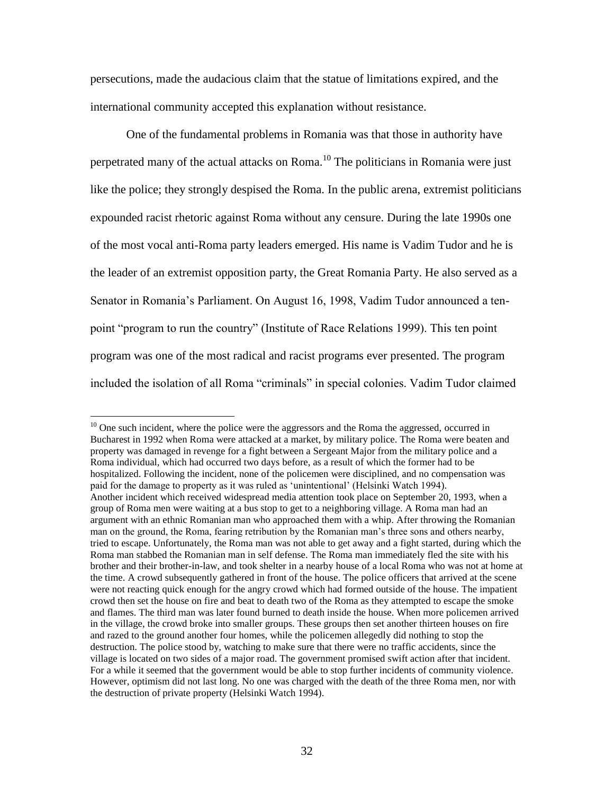persecutions, made the audacious claim that the statue of limitations expired, and the international community accepted this explanation without resistance.

One of the fundamental problems in Romania was that those in authority have perpetrated many of the actual attacks on Roma.<sup>10</sup> The politicians in Romania were just like the police; they strongly despised the Roma. In the public arena, extremist politicians expounded racist rhetoric against Roma without any censure. During the late 1990s one of the most vocal anti-Roma party leaders emerged. His name is Vadim Tudor and he is the leader of an extremist opposition party, the Great Romania Party. He also served as a Senator in Romania's Parliament. On August 16, 1998, Vadim Tudor announced a tenpoint "program to run the country" (Institute of Race Relations 1999). This ten point program was one of the most radical and racist programs ever presented. The program included the isolation of all Roma "criminals" in special colonies. Vadim Tudor claimed

 $10$  One such incident, where the police were the aggressors and the Roma the aggressed, occurred in Bucharest in 1992 when Roma were attacked at a market, by military police. The Roma were beaten and property was damaged in revenge for a fight between a Sergeant Major from the military police and a Roma individual, which had occurred two days before, as a result of which the former had to be hospitalized. Following the incident, none of the policemen were disciplined, and no compensation was paid for the damage to property as it was ruled as "unintentional" (Helsinki Watch 1994). Another incident which received widespread media attention took place on September 20, 1993, when a group of Roma men were waiting at a bus stop to get to a neighboring village. A Roma man had an argument with an ethnic Romanian man who approached them with a whip. After throwing the Romanian man on the ground, the Roma, fearing retribution by the Romanian man"s three sons and others nearby, tried to escape. Unfortunately, the Roma man was not able to get away and a fight started, during which the Roma man stabbed the Romanian man in self defense. The Roma man immediately fled the site with his brother and their brother-in-law, and took shelter in a nearby house of a local Roma who was not at home at the time. A crowd subsequently gathered in front of the house. The police officers that arrived at the scene were not reacting quick enough for the angry crowd which had formed outside of the house. The impatient crowd then set the house on fire and beat to death two of the Roma as they attempted to escape the smoke and flames. The third man was later found burned to death inside the house. When more policemen arrived in the village, the crowd broke into smaller groups. These groups then set another thirteen houses on fire and razed to the ground another four homes, while the policemen allegedly did nothing to stop the destruction. The police stood by, watching to make sure that there were no traffic accidents, since the village is located on two sides of a major road. The government promised swift action after that incident. For a while it seemed that the government would be able to stop further incidents of community violence. However, optimism did not last long. No one was charged with the death of the three Roma men, nor with the destruction of private property (Helsinki Watch 1994).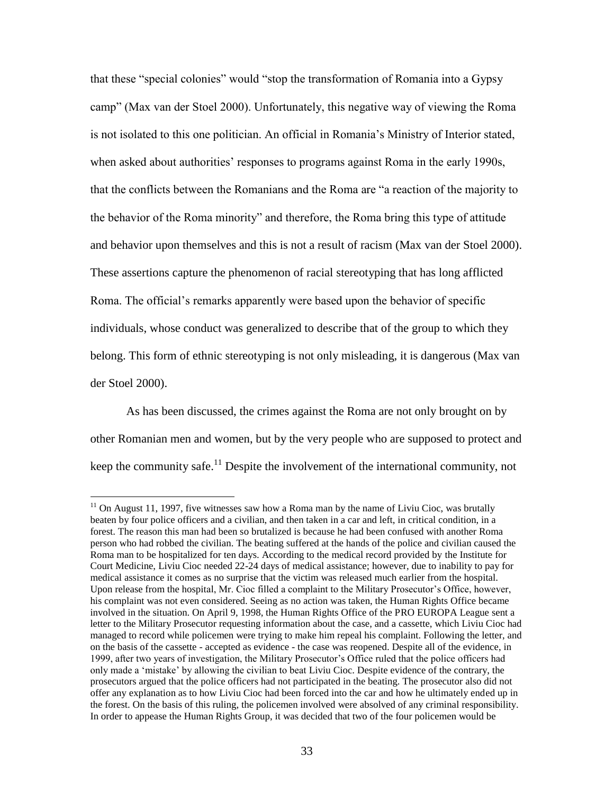that these "special colonies" would "stop the transformation of Romania into a Gypsy camp" (Max van der Stoel 2000). Unfortunately, this negative way of viewing the Roma is not isolated to this one politician. An official in Romania"s Ministry of Interior stated, when asked about authorities' responses to programs against Roma in the early 1990s, that the conflicts between the Romanians and the Roma are "a reaction of the majority to the behavior of the Roma minority" and therefore, the Roma bring this type of attitude and behavior upon themselves and this is not a result of racism (Max van der Stoel 2000). These assertions capture the phenomenon of racial stereotyping that has long afflicted Roma. The official"s remarks apparently were based upon the behavior of specific individuals, whose conduct was generalized to describe that of the group to which they belong. This form of ethnic stereotyping is not only misleading, it is dangerous (Max van der Stoel 2000).

As has been discussed, the crimes against the Roma are not only brought on by other Romanian men and women, but by the very people who are supposed to protect and keep the community safe.<sup>11</sup> Despite the involvement of the international community, not

 $11$  On August 11, 1997, five witnesses saw how a Roma man by the name of Liviu Cioc, was brutally beaten by four police officers and a civilian, and then taken in a car and left, in critical condition, in a forest. The reason this man had been so brutalized is because he had been confused with another Roma person who had robbed the civilian. The beating suffered at the hands of the police and civilian caused the Roma man to be hospitalized for ten days. According to the medical record provided by the Institute for Court Medicine, Liviu Cioc needed 22-24 days of medical assistance; however, due to inability to pay for medical assistance it comes as no surprise that the victim was released much earlier from the hospital. Upon release from the hospital, Mr. Cioc filled a complaint to the Military Prosecutor's Office, however, his complaint was not even considered. Seeing as no action was taken, the Human Rights Office became involved in the situation. On April 9, 1998, the Human Rights Office of the PRO EUROPA League sent a letter to the Military Prosecutor requesting information about the case, and a cassette, which Liviu Cioc had managed to record while policemen were trying to make him repeal his complaint. Following the letter, and on the basis of the cassette - accepted as evidence - the case was reopened. Despite all of the evidence, in 1999, after two years of investigation, the Military Prosecutor"s Office ruled that the police officers had only made a "mistake" by allowing the civilian to beat Liviu Cioc. Despite evidence of the contrary, the prosecutors argued that the police officers had not participated in the beating. The prosecutor also did not offer any explanation as to how Liviu Cioc had been forced into the car and how he ultimately ended up in the forest. On the basis of this ruling, the policemen involved were absolved of any criminal responsibility. In order to appease the Human Rights Group, it was decided that two of the four policemen would be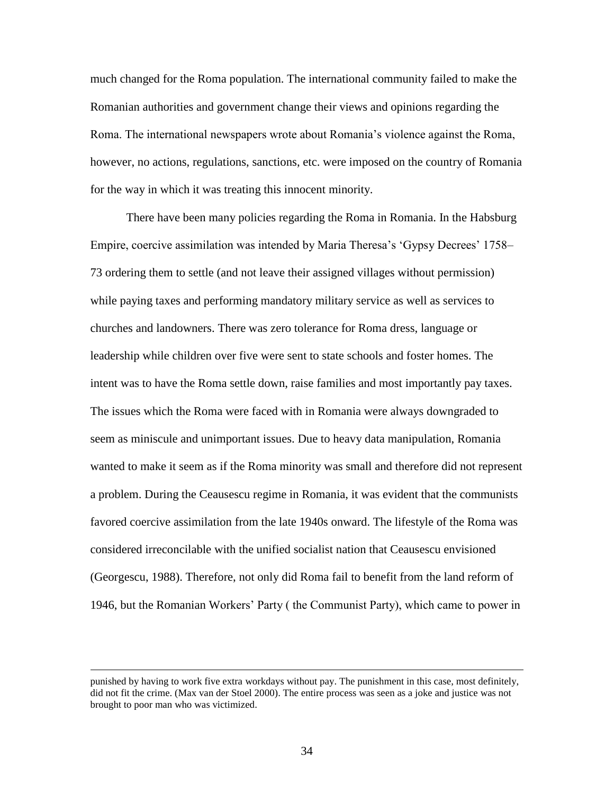much changed for the Roma population. The international community failed to make the Romanian authorities and government change their views and opinions regarding the Roma. The international newspapers wrote about Romania"s violence against the Roma, however, no actions, regulations, sanctions, etc. were imposed on the country of Romania for the way in which it was treating this innocent minority.

There have been many policies regarding the Roma in Romania. In the Habsburg Empire, coercive assimilation was intended by Maria Theresa's 'Gypsy Decrees' 1758– 73 ordering them to settle (and not leave their assigned villages without permission) while paying taxes and performing mandatory military service as well as services to churches and landowners. There was zero tolerance for Roma dress, language or leadership while children over five were sent to state schools and foster homes. The intent was to have the Roma settle down, raise families and most importantly pay taxes. The issues which the Roma were faced with in Romania were always downgraded to seem as miniscule and unimportant issues. Due to heavy data manipulation, Romania wanted to make it seem as if the Roma minority was small and therefore did not represent a problem. During the Ceausescu regime in Romania, it was evident that the communists favored coercive assimilation from the late 1940s onward. The lifestyle of the Roma was considered irreconcilable with the unified socialist nation that Ceausescu envisioned (Georgescu, 1988). Therefore, not only did Roma fail to benefit from the land reform of 1946, but the Romanian Workers" Party ( the Communist Party), which came to power in

punished by having to work five extra workdays without pay. The punishment in this case, most definitely, did not fit the crime. (Max van der Stoel 2000). The entire process was seen as a joke and justice was not brought to poor man who was victimized.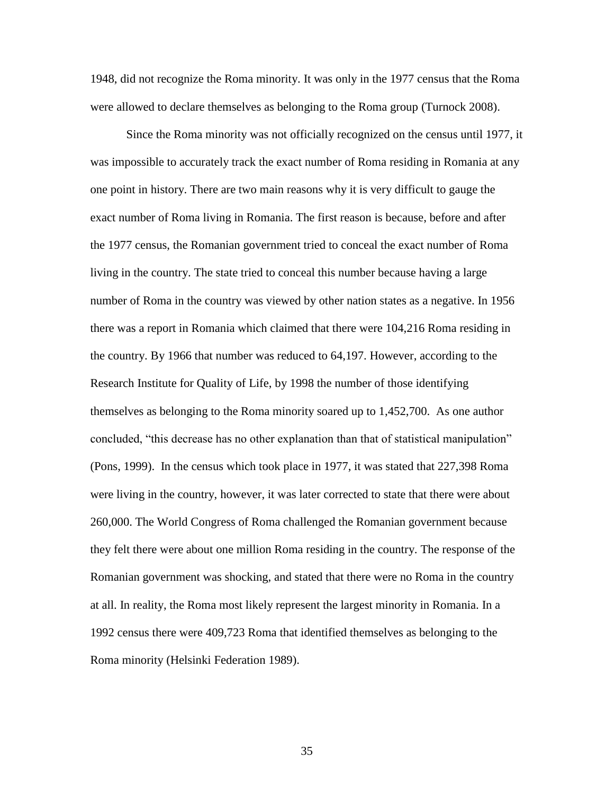1948, did not recognize the Roma minority. It was only in the 1977 census that the Roma were allowed to declare themselves as belonging to the Roma group (Turnock 2008).

Since the Roma minority was not officially recognized on the census until 1977, it was impossible to accurately track the exact number of Roma residing in Romania at any one point in history. There are two main reasons why it is very difficult to gauge the exact number of Roma living in Romania. The first reason is because, before and after the 1977 census, the Romanian government tried to conceal the exact number of Roma living in the country. The state tried to conceal this number because having a large number of Roma in the country was viewed by other nation states as a negative. In 1956 there was a report in Romania which claimed that there were 104,216 Roma residing in the country. By 1966 that number was reduced to 64,197. However, according to the Research Institute for Quality of Life, by 1998 the number of those identifying themselves as belonging to the Roma minority soared up to 1,452,700. As one author concluded, "this decrease has no other explanation than that of statistical manipulation" (Pons, 1999). In the census which took place in 1977, it was stated that 227,398 Roma were living in the country, however, it was later corrected to state that there were about 260,000. The World Congress of Roma challenged the Romanian government because they felt there were about one million Roma residing in the country. The response of the Romanian government was shocking, and stated that there were no Roma in the country at all. In reality, the Roma most likely represent the largest minority in Romania. In a 1992 census there were 409,723 Roma that identified themselves as belonging to the Roma minority (Helsinki Federation 1989).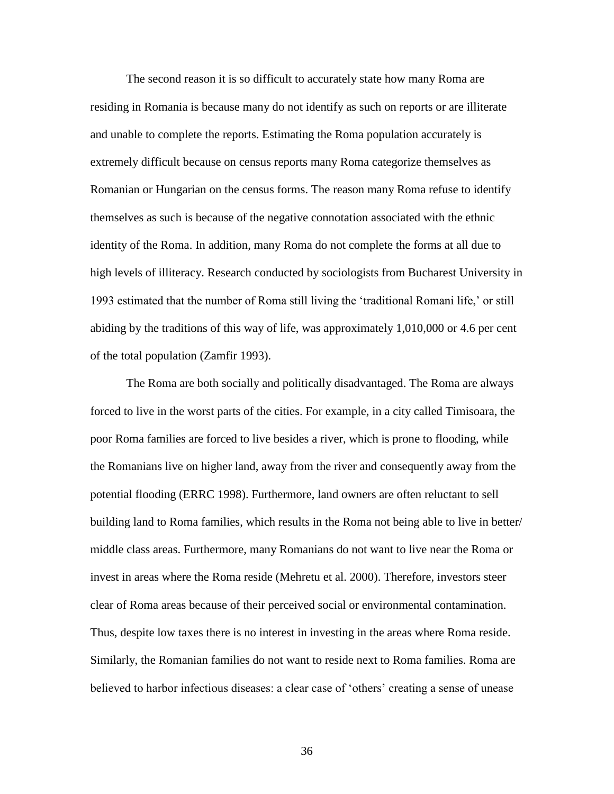The second reason it is so difficult to accurately state how many Roma are residing in Romania is because many do not identify as such on reports or are illiterate and unable to complete the reports. Estimating the Roma population accurately is extremely difficult because on census reports many Roma categorize themselves as Romanian or Hungarian on the census forms. The reason many Roma refuse to identify themselves as such is because of the negative connotation associated with the ethnic identity of the Roma. In addition, many Roma do not complete the forms at all due to high levels of illiteracy. Research conducted by sociologists from Bucharest University in 1993 estimated that the number of Roma still living the "traditional Romani life," or still abiding by the traditions of this way of life, was approximately 1,010,000 or 4.6 per cent of the total population (Zamfir 1993).

The Roma are both socially and politically disadvantaged. The Roma are always forced to live in the worst parts of the cities. For example, in a city called Timisoara, the poor Roma families are forced to live besides a river, which is prone to flooding, while the Romanians live on higher land, away from the river and consequently away from the potential flooding (ERRC 1998). Furthermore, land owners are often reluctant to sell building land to Roma families, which results in the Roma not being able to live in better/ middle class areas. Furthermore, many Romanians do not want to live near the Roma or invest in areas where the Roma reside (Mehretu et al. 2000). Therefore, investors steer clear of Roma areas because of their perceived social or environmental contamination. Thus, despite low taxes there is no interest in investing in the areas where Roma reside. Similarly, the Romanian families do not want to reside next to Roma families. Roma are believed to harbor infectious diseases: a clear case of "others" creating a sense of unease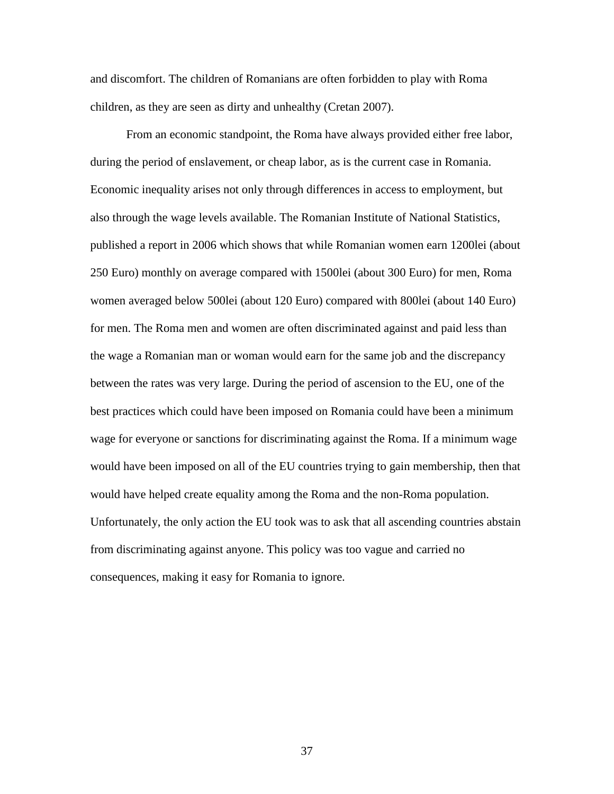and discomfort. The children of Romanians are often forbidden to play with Roma children, as they are seen as dirty and unhealthy (Cretan 2007).

From an economic standpoint, the Roma have always provided either free labor, during the period of enslavement, or cheap labor, as is the current case in Romania. Economic inequality arises not only through differences in access to employment, but also through the wage levels available. The Romanian Institute of National Statistics, published a report in 2006 which shows that while Romanian women earn 1200lei (about 250 Euro) monthly on average compared with 1500lei (about 300 Euro) for men, Roma women averaged below 500lei (about 120 Euro) compared with 800lei (about 140 Euro) for men. The Roma men and women are often discriminated against and paid less than the wage a Romanian man or woman would earn for the same job and the discrepancy between the rates was very large. During the period of ascension to the EU, one of the best practices which could have been imposed on Romania could have been a minimum wage for everyone or sanctions for discriminating against the Roma. If a minimum wage would have been imposed on all of the EU countries trying to gain membership, then that would have helped create equality among the Roma and the non-Roma population. Unfortunately, the only action the EU took was to ask that all ascending countries abstain from discriminating against anyone. This policy was too vague and carried no consequences, making it easy for Romania to ignore.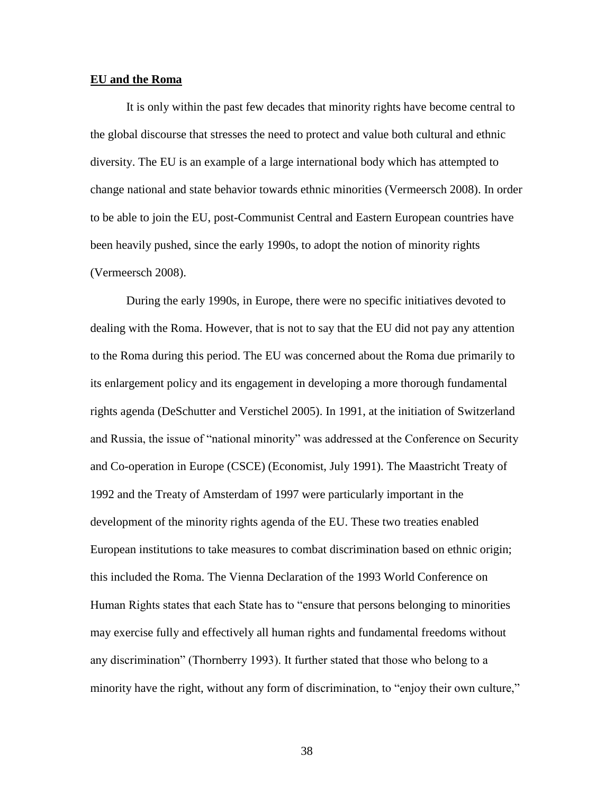#### **EU and the Roma**

It is only within the past few decades that minority rights have become central to the global discourse that stresses the need to protect and value both cultural and ethnic diversity. The EU is an example of a large international body which has attempted to change national and state behavior towards ethnic minorities (Vermeersch 2008). In order to be able to join the EU, post-Communist Central and Eastern European countries have been heavily pushed, since the early 1990s, to adopt the notion of minority rights (Vermeersch 2008).

During the early 1990s, in Europe, there were no specific initiatives devoted to dealing with the Roma. However, that is not to say that the EU did not pay any attention to the Roma during this period. The EU was concerned about the Roma due primarily to its enlargement policy and its engagement in developing a more thorough fundamental rights agenda (DeSchutter and Verstichel 2005). In 1991, at the initiation of Switzerland and Russia, the issue of "national minority" was addressed at the Conference on Security and Co-operation in Europe (CSCE) (Economist, July 1991). The Maastricht Treaty of 1992 and the Treaty of Amsterdam of 1997 were particularly important in the development of the minority rights agenda of the EU. These two treaties enabled European institutions to take measures to combat discrimination based on ethnic origin; this included the Roma. The Vienna Declaration of the 1993 World Conference on Human Rights states that each State has to "ensure that persons belonging to minorities may exercise fully and effectively all human rights and fundamental freedoms without any discrimination" (Thornberry 1993). It further stated that those who belong to a minority have the right, without any form of discrimination, to "enjoy their own culture,"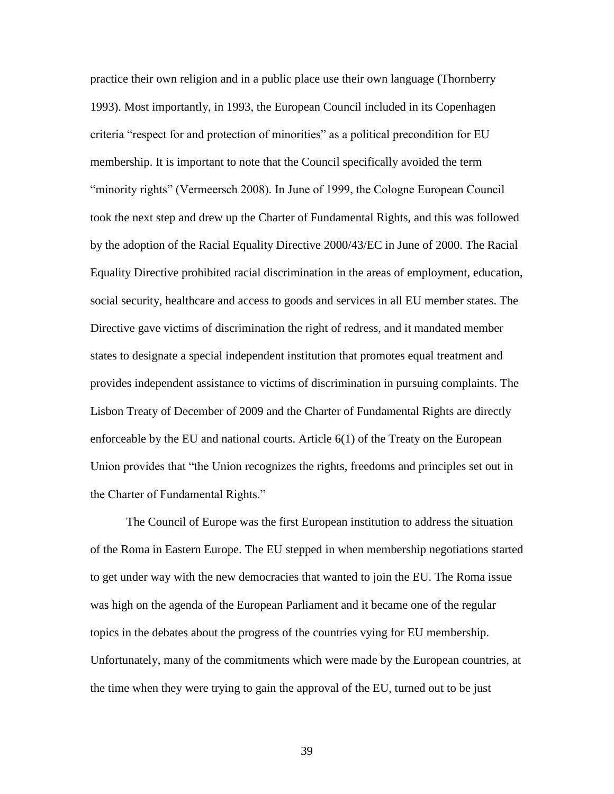practice their own religion and in a public place use their own language (Thornberry 1993). Most importantly, in 1993, the European Council included in its Copenhagen criteria "respect for and protection of minorities" as a political precondition for EU membership. It is important to note that the Council specifically avoided the term "minority rights" (Vermeersch 2008). In June of 1999, the Cologne European Council took the next step and drew up the Charter of Fundamental Rights, and this was followed by the adoption of the Racial Equality Directive 2000/43/EC in June of 2000. The Racial Equality Directive prohibited racial discrimination in the areas of employment, education, social security, healthcare and access to goods and services in all EU member states. The Directive gave victims of discrimination the right of redress, and it mandated member states to designate a special independent institution that promotes equal treatment and provides independent assistance to victims of discrimination in pursuing complaints. The Lisbon Treaty of December of 2009 and the Charter of Fundamental Rights are directly enforceable by the EU and national courts. Article 6(1) of the Treaty on the European Union provides that "the Union recognizes the rights, freedoms and principles set out in the Charter of Fundamental Rights."

The Council of Europe was the first European institution to address the situation of the Roma in Eastern Europe. The EU stepped in when membership negotiations started to get under way with the new democracies that wanted to join the EU. The Roma issue was high on the agenda of the European Parliament and it became one of the regular topics in the debates about the progress of the countries vying for EU membership. Unfortunately, many of the commitments which were made by the European countries, at the time when they were trying to gain the approval of the EU, turned out to be just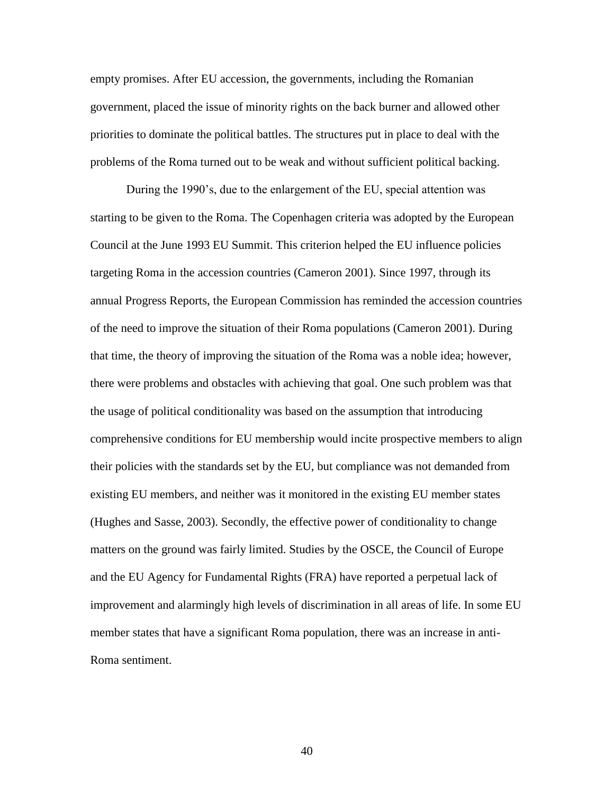empty promises. After EU accession, the governments, including the Romanian government, placed the issue of minority rights on the back burner and allowed other priorities to dominate the political battles. The structures put in place to deal with the problems of the Roma turned out to be weak and without sufficient political backing.

During the 1990"s, due to the enlargement of the EU, special attention was starting to be given to the Roma. The Copenhagen criteria was adopted by the European Council at the June 1993 EU Summit. This criterion helped the EU influence policies targeting Roma in the accession countries (Cameron 2001). Since 1997, through its annual Progress Reports, the European Commission has reminded the accession countries of the need to improve the situation of their Roma populations (Cameron 2001). During that time, the theory of improving the situation of the Roma was a noble idea; however, there were problems and obstacles with achieving that goal. One such problem was that the usage of political conditionality was based on the assumption that introducing comprehensive conditions for EU membership would incite prospective members to align their policies with the standards set by the EU, but compliance was not demanded from existing EU members, and neither was it monitored in the existing EU member states (Hughes and Sasse, 2003). Secondly, the effective power of conditionality to change matters on the ground was fairly limited. Studies by the OSCE, the Council of Europe and the EU Agency for Fundamental Rights (FRA) have reported a perpetual lack of improvement and alarmingly high levels of discrimination in all areas of life. In some EU member states that have a significant Roma population, there was an increase in anti-Roma sentiment.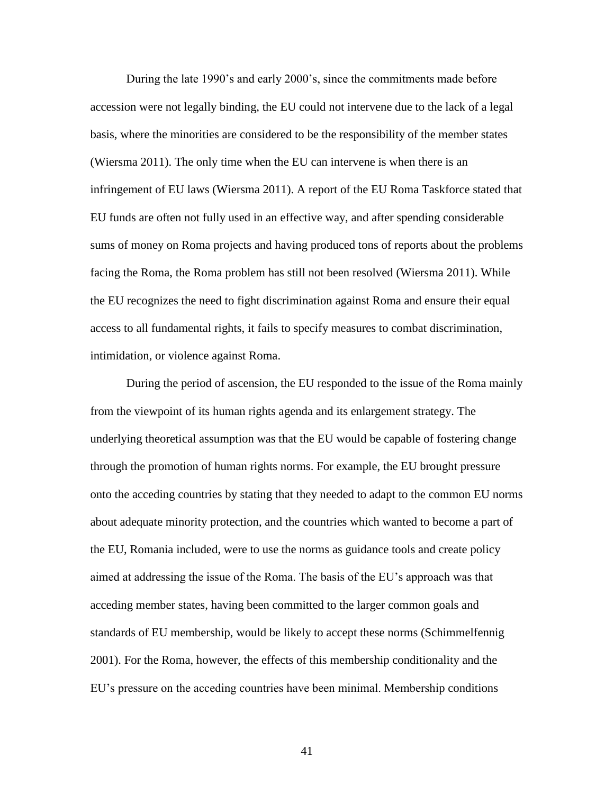During the late 1990"s and early 2000"s, since the commitments made before accession were not legally binding, the EU could not intervene due to the lack of a legal basis, where the minorities are considered to be the responsibility of the member states (Wiersma 2011). The only time when the EU can intervene is when there is an infringement of EU laws (Wiersma 2011). A report of the EU Roma Taskforce stated that EU funds are often not fully used in an effective way, and after spending considerable sums of money on Roma projects and having produced tons of reports about the problems facing the Roma, the Roma problem has still not been resolved (Wiersma 2011). While the EU recognizes the need to fight discrimination against Roma and ensure their equal access to all fundamental rights, it fails to specify measures to combat discrimination, intimidation, or violence against Roma.

During the period of ascension, the EU responded to the issue of the Roma mainly from the viewpoint of its human rights agenda and its enlargement strategy. The underlying theoretical assumption was that the EU would be capable of fostering change through the promotion of human rights norms. For example, the EU brought pressure onto the acceding countries by stating that they needed to adapt to the common EU norms about adequate minority protection, and the countries which wanted to become a part of the EU, Romania included, were to use the norms as guidance tools and create policy aimed at addressing the issue of the Roma. The basis of the EU"s approach was that acceding member states, having been committed to the larger common goals and standards of EU membership, would be likely to accept these norms (Schimmelfennig 2001). For the Roma, however, the effects of this membership conditionality and the EU"s pressure on the acceding countries have been minimal. Membership conditions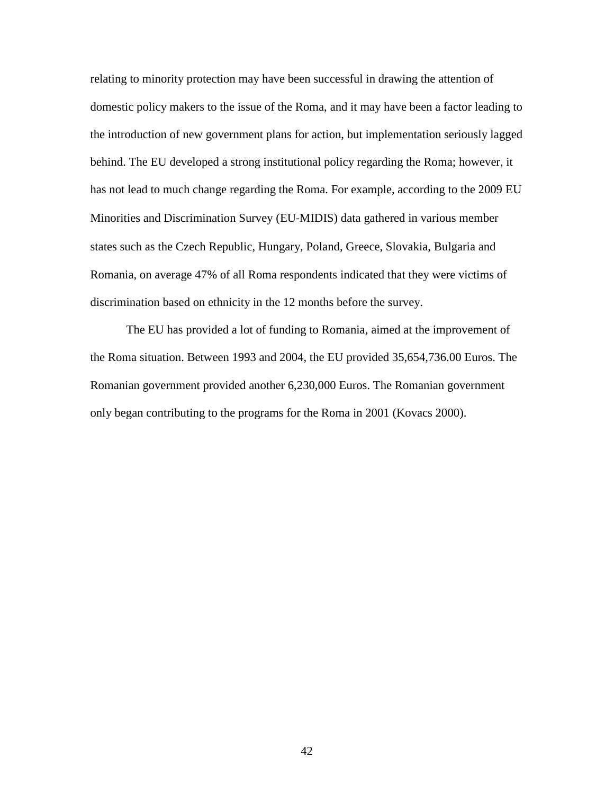relating to minority protection may have been successful in drawing the attention of domestic policy makers to the issue of the Roma, and it may have been a factor leading to the introduction of new government plans for action, but implementation seriously lagged behind. The EU developed a strong institutional policy regarding the Roma; however, it has not lead to much change regarding the Roma. For example, according to the 2009 EU Minorities and Discrimination Survey (EU‐MIDIS) data gathered in various member states such as the Czech Republic, Hungary, Poland, Greece, Slovakia, Bulgaria and Romania, on average 47% of all Roma respondents indicated that they were victims of discrimination based on ethnicity in the 12 months before the survey.

The EU has provided a lot of funding to Romania, aimed at the improvement of the Roma situation. Between 1993 and 2004, the EU provided 35,654,736.00 Euros. The Romanian government provided another 6,230,000 Euros. The Romanian government only began contributing to the programs for the Roma in 2001 (Kovacs 2000).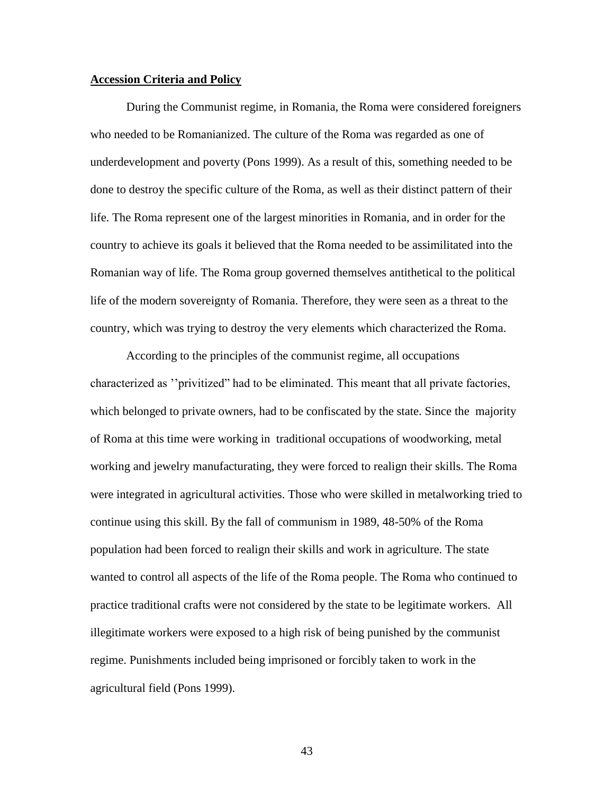# **Accession Criteria and Policy**

During the Communist regime, in Romania, the Roma were considered foreigners who needed to be Romanianized. The culture of the Roma was regarded as one of underdevelopment and poverty (Pons 1999). As a result of this, something needed to be done to destroy the specific culture of the Roma, as well as their distinct pattern of their life. The Roma represent one of the largest minorities in Romania, and in order for the country to achieve its goals it believed that the Roma needed to be assimilitated into the Romanian way of life. The Roma group governed themselves antithetical to the political life of the modern sovereignty of Romania. Therefore, they were seen as a threat to the country, which was trying to destroy the very elements which characterized the Roma.

According to the principles of the communist regime, all occupations characterized as ""privitized" had to be eliminated. This meant that all private factories, which belonged to private owners, had to be confiscated by the state. Since the majority of Roma at this time were working in traditional occupations of woodworking, metal working and jewelry manufacturating, they were forced to realign their skills. The Roma were integrated in agricultural activities. Those who were skilled in metalworking tried to continue using this skill. By the fall of communism in 1989, 48-50% of the Roma population had been forced to realign their skills and work in agriculture. The state wanted to control all aspects of the life of the Roma people. The Roma who continued to practice traditional crafts were not considered by the state to be legitimate workers. All illegitimate workers were exposed to a high risk of being punished by the communist regime. Punishments included being imprisoned or forcibly taken to work in the agricultural field (Pons 1999).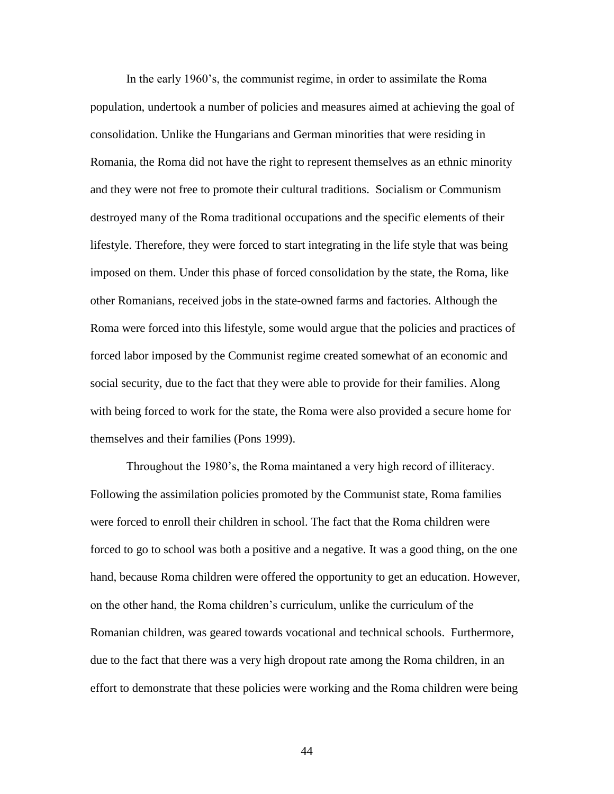In the early 1960"s, the communist regime, in order to assimilate the Roma population, undertook a number of policies and measures aimed at achieving the goal of consolidation. Unlike the Hungarians and German minorities that were residing in Romania, the Roma did not have the right to represent themselves as an ethnic minority and they were not free to promote their cultural traditions. Socialism or Communism destroyed many of the Roma traditional occupations and the specific elements of their lifestyle. Therefore, they were forced to start integrating in the life style that was being imposed on them. Under this phase of forced consolidation by the state, the Roma, like other Romanians, received jobs in the state-owned farms and factories. Although the Roma were forced into this lifestyle, some would argue that the policies and practices of forced labor imposed by the Communist regime created somewhat of an economic and social security, due to the fact that they were able to provide for their families. Along with being forced to work for the state, the Roma were also provided a secure home for themselves and their families (Pons 1999).

Throughout the 1980"s, the Roma maintaned a very high record of illiteracy. Following the assimilation policies promoted by the Communist state, Roma families were forced to enroll their children in school. The fact that the Roma children were forced to go to school was both a positive and a negative. It was a good thing, on the one hand, because Roma children were offered the opportunity to get an education. However, on the other hand, the Roma children"s curriculum, unlike the curriculum of the Romanian children, was geared towards vocational and technical schools. Furthermore, due to the fact that there was a very high dropout rate among the Roma children, in an effort to demonstrate that these policies were working and the Roma children were being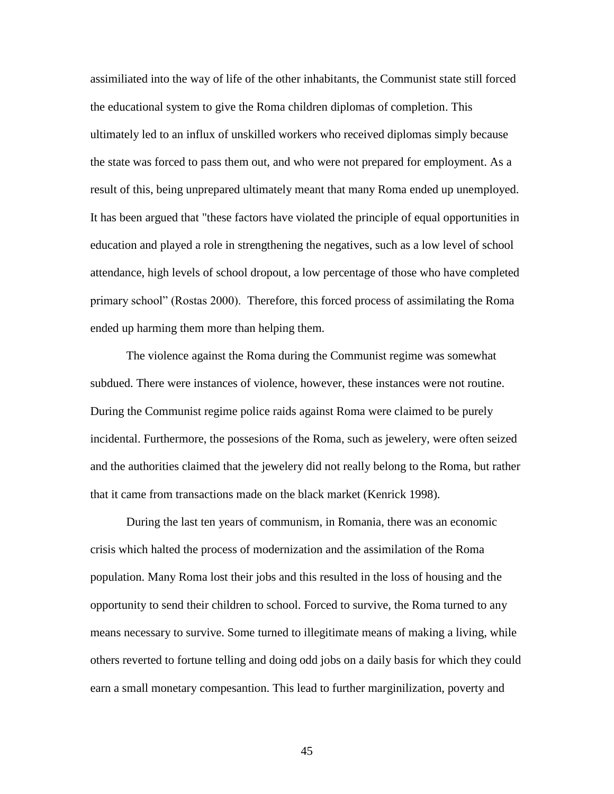assimiliated into the way of life of the other inhabitants, the Communist state still forced the educational system to give the Roma children diplomas of completion. This ultimately led to an influx of unskilled workers who received diplomas simply because the state was forced to pass them out, and who were not prepared for employment. As a result of this, being unprepared ultimately meant that many Roma ended up unemployed. It has been argued that "these factors have violated the principle of equal opportunities in education and played a role in strengthening the negatives, such as a low level of school attendance, high levels of school dropout, a low percentage of those who have completed primary school" (Rostas 2000). Therefore, this forced process of assimilating the Roma ended up harming them more than helping them.

The violence against the Roma during the Communist regime was somewhat subdued. There were instances of violence, however, these instances were not routine. During the Communist regime police raids against Roma were claimed to be purely incidental. Furthermore, the possesions of the Roma, such as jewelery, were often seized and the authorities claimed that the jewelery did not really belong to the Roma, but rather that it came from transactions made on the black market (Kenrick 1998).

During the last ten years of communism, in Romania, there was an economic crisis which halted the process of modernization and the assimilation of the Roma population. Many Roma lost their jobs and this resulted in the loss of housing and the opportunity to send their children to school. Forced to survive, the Roma turned to any means necessary to survive. Some turned to illegitimate means of making a living, while others reverted to fortune telling and doing odd jobs on a daily basis for which they could earn a small monetary compesantion. This lead to further marginilization, poverty and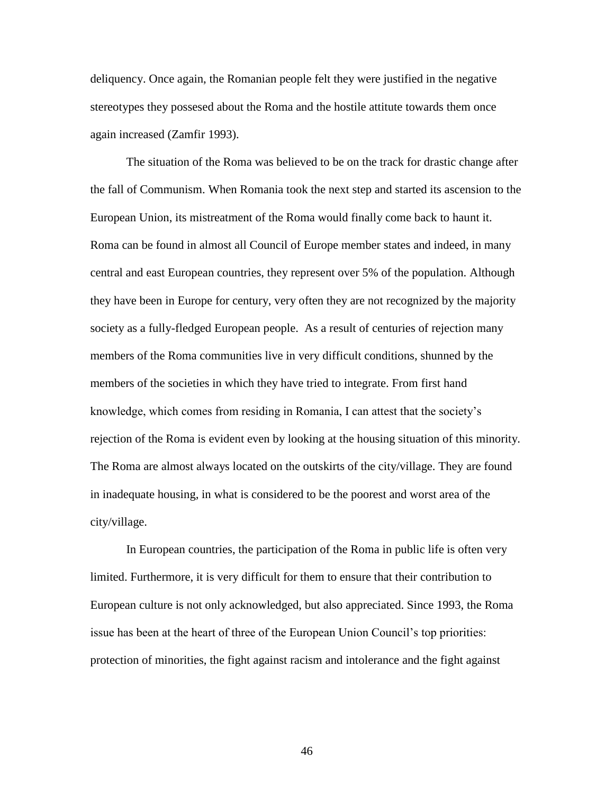deliquency. Once again, the Romanian people felt they were justified in the negative stereotypes they possesed about the Roma and the hostile attitute towards them once again increased (Zamfir 1993).

The situation of the Roma was believed to be on the track for drastic change after the fall of Communism. When Romania took the next step and started its ascension to the European Union, its mistreatment of the Roma would finally come back to haunt it. Roma can be found in almost all Council of Europe member states and indeed, in many central and east European countries, they represent over 5% of the population. Although they have been in Europe for century, very often they are not recognized by the majority society as a fully-fledged European people. As a result of centuries of rejection many members of the Roma communities live in very difficult conditions, shunned by the members of the societies in which they have tried to integrate. From first hand knowledge, which comes from residing in Romania, I can attest that the society"s rejection of the Roma is evident even by looking at the housing situation of this minority. The Roma are almost always located on the outskirts of the city/village. They are found in inadequate housing, in what is considered to be the poorest and worst area of the city/village.

In European countries, the participation of the Roma in public life is often very limited. Furthermore, it is very difficult for them to ensure that their contribution to European culture is not only acknowledged, but also appreciated. Since 1993, the Roma issue has been at the heart of three of the European Union Council's top priorities: protection of minorities, the fight against racism and intolerance and the fight against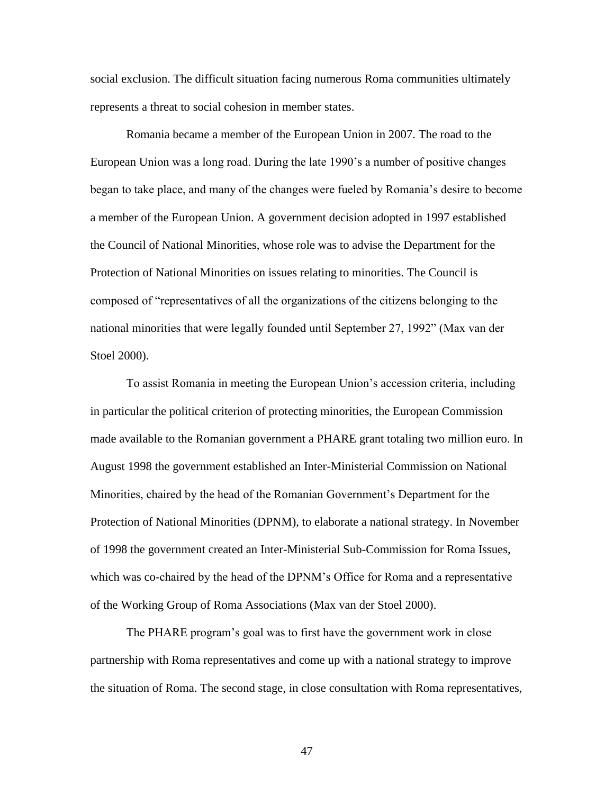social exclusion. The difficult situation facing numerous Roma communities ultimately represents a threat to social cohesion in member states.

Romania became a member of the European Union in 2007. The road to the European Union was a long road. During the late 1990"s a number of positive changes began to take place, and many of the changes were fueled by Romania"s desire to become a member of the European Union. A government decision adopted in 1997 established the Council of National Minorities, whose role was to advise the Department for the Protection of National Minorities on issues relating to minorities. The Council is composed of "representatives of all the organizations of the citizens belonging to the national minorities that were legally founded until September 27, 1992" (Max van der Stoel 2000).

To assist Romania in meeting the European Union"s accession criteria, including in particular the political criterion of protecting minorities, the European Commission made available to the Romanian government a PHARE grant totaling two million euro. In August 1998 the government established an Inter-Ministerial Commission on National Minorities, chaired by the head of the Romanian Government"s Department for the Protection of National Minorities (DPNM), to elaborate a national strategy. In November of 1998 the government created an Inter-Ministerial Sub-Commission for Roma Issues, which was co-chaired by the head of the DPNM"s Office for Roma and a representative of the Working Group of Roma Associations (Max van der Stoel 2000).

The PHARE program's goal was to first have the government work in close partnership with Roma representatives and come up with a national strategy to improve the situation of Roma. The second stage, in close consultation with Roma representatives,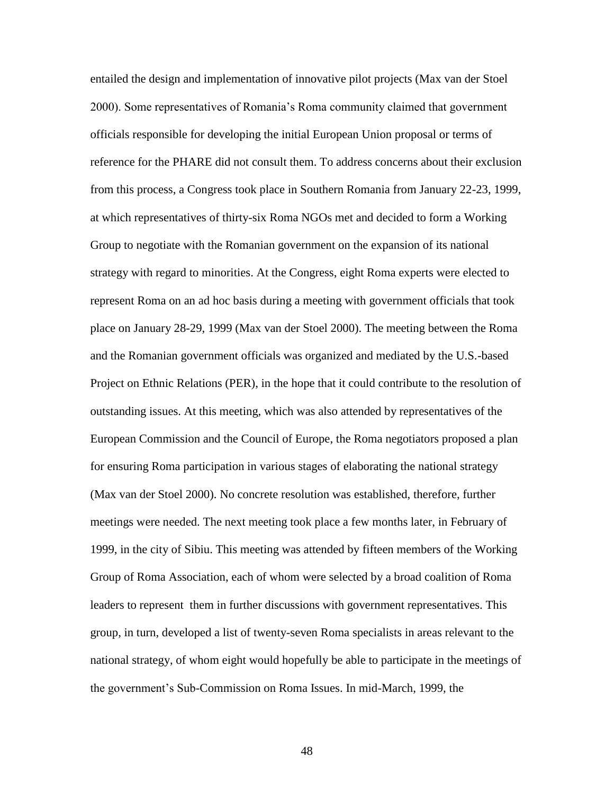entailed the design and implementation of innovative pilot projects (Max van der Stoel 2000). Some representatives of Romania"s Roma community claimed that government officials responsible for developing the initial European Union proposal or terms of reference for the PHARE did not consult them. To address concerns about their exclusion from this process, a Congress took place in Southern Romania from January 22-23, 1999, at which representatives of thirty-six Roma NGOs met and decided to form a Working Group to negotiate with the Romanian government on the expansion of its national strategy with regard to minorities. At the Congress, eight Roma experts were elected to represent Roma on an ad hoc basis during a meeting with government officials that took place on January 28-29, 1999 (Max van der Stoel 2000). The meeting between the Roma and the Romanian government officials was organized and mediated by the U.S.-based Project on Ethnic Relations (PER), in the hope that it could contribute to the resolution of outstanding issues. At this meeting, which was also attended by representatives of the European Commission and the Council of Europe, the Roma negotiators proposed a plan for ensuring Roma participation in various stages of elaborating the national strategy (Max van der Stoel 2000). No concrete resolution was established, therefore, further meetings were needed. The next meeting took place a few months later, in February of 1999, in the city of Sibiu. This meeting was attended by fifteen members of the Working Group of Roma Association, each of whom were selected by a broad coalition of Roma leaders to represent them in further discussions with government representatives. This group, in turn, developed a list of twenty-seven Roma specialists in areas relevant to the national strategy, of whom eight would hopefully be able to participate in the meetings of the government"s Sub-Commission on Roma Issues. In mid-March, 1999, the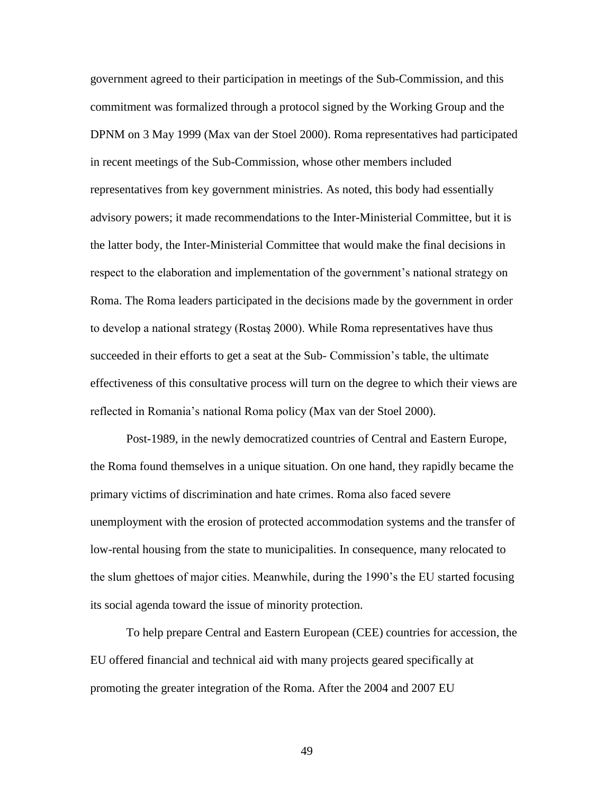government agreed to their participation in meetings of the Sub-Commission, and this commitment was formalized through a protocol signed by the Working Group and the DPNM on 3 May 1999 (Max van der Stoel 2000). Roma representatives had participated in recent meetings of the Sub-Commission, whose other members included representatives from key government ministries. As noted, this body had essentially advisory powers; it made recommendations to the Inter-Ministerial Committee, but it is the latter body, the Inter-Ministerial Committee that would make the final decisions in respect to the elaboration and implementation of the government's national strategy on Roma. The Roma leaders participated in the decisions made by the government in order to develop a national strategy (Rostaş 2000). While Roma representatives have thus succeeded in their efforts to get a seat at the Sub- Commission"s table, the ultimate effectiveness of this consultative process will turn on the degree to which their views are reflected in Romania"s national Roma policy (Max van der Stoel 2000).

Post-1989, in the newly democratized countries of Central and Eastern Europe, the Roma found themselves in a unique situation. On one hand, they rapidly became the primary victims of discrimination and hate crimes. Roma also faced severe unemployment with the erosion of protected accommodation systems and the transfer of low-rental housing from the state to municipalities. In consequence, many relocated to the slum ghettoes of major cities. Meanwhile, during the 1990"s the EU started focusing its social agenda toward the issue of minority protection.

To help prepare Central and Eastern European (CEE) countries for accession, the EU offered financial and technical aid with many projects geared specifically at promoting the greater integration of the Roma. After the 2004 and 2007 EU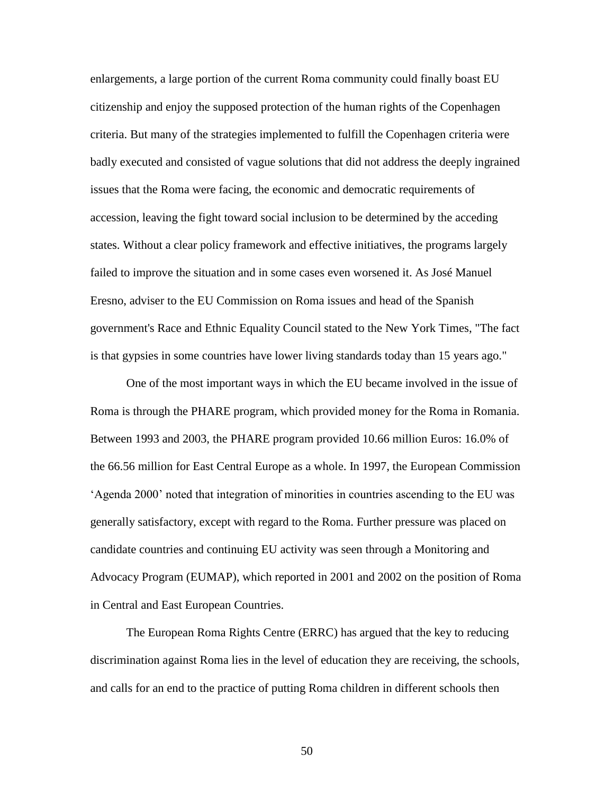enlargements, a large portion of the current Roma community could finally boast EU citizenship and enjoy the supposed protection of the human rights of the Copenhagen criteria. But many of the strategies implemented to fulfill the Copenhagen criteria were badly executed and consisted of vague solutions that did not address the deeply ingrained issues that the Roma were facing, the economic and democratic requirements of accession, leaving the fight toward social inclusion to be determined by the acceding states. Without a clear policy framework and effective initiatives, the programs largely failed to improve the situation and in some cases even worsened it. As José Manuel Eresno, adviser to the EU Commission on Roma issues and head of the Spanish government's Race and Ethnic Equality Council stated to the New York Times, "The fact is that gypsies in some countries have lower living standards today than 15 years ago."

One of the most important ways in which the EU became involved in the issue of Roma is through the PHARE program, which provided money for the Roma in Romania. Between 1993 and 2003, the PHARE program provided 10.66 million Euros: 16.0% of the 66.56 million for East Central Europe as a whole. In 1997, the European Commission "Agenda 2000" noted that integration of minorities in countries ascending to the EU was generally satisfactory, except with regard to the Roma. Further pressure was placed on candidate countries and continuing EU activity was seen through a Monitoring and Advocacy Program (EUMAP), which reported in 2001 and 2002 on the position of Roma in Central and East European Countries.

The European Roma Rights Centre (ERRC) has argued that the key to reducing discrimination against Roma lies in the level of education they are receiving, the schools, and calls for an end to the practice of putting Roma children in different schools then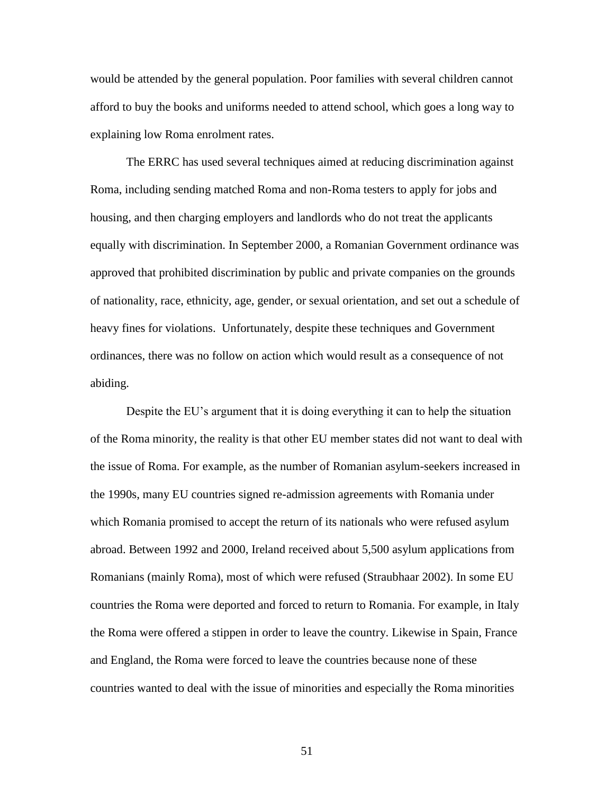would be attended by the general population. Poor families with several children cannot afford to buy the books and uniforms needed to attend school, which goes a long way to explaining low Roma enrolment rates.

The ERRC has used several techniques aimed at reducing discrimination against Roma, including sending matched Roma and non-Roma testers to apply for jobs and housing, and then charging employers and landlords who do not treat the applicants equally with discrimination. In September 2000, a Romanian Government ordinance was approved that prohibited discrimination by public and private companies on the grounds of nationality, race, ethnicity, age, gender, or sexual orientation, and set out a schedule of heavy fines for violations. Unfortunately, despite these techniques and Government ordinances, there was no follow on action which would result as a consequence of not abiding.

Despite the EU"s argument that it is doing everything it can to help the situation of the Roma minority, the reality is that other EU member states did not want to deal with the issue of Roma. For example, as the number of Romanian asylum-seekers increased in the 1990s, many EU countries signed re-admission agreements with Romania under which Romania promised to accept the return of its nationals who were refused asylum abroad. Between 1992 and 2000, Ireland received about 5,500 asylum applications from Romanians (mainly Roma), most of which were refused (Straubhaar 2002). In some EU countries the Roma were deported and forced to return to Romania. For example, in Italy the Roma were offered a stippen in order to leave the country. Likewise in Spain, France and England, the Roma were forced to leave the countries because none of these countries wanted to deal with the issue of minorities and especially the Roma minorities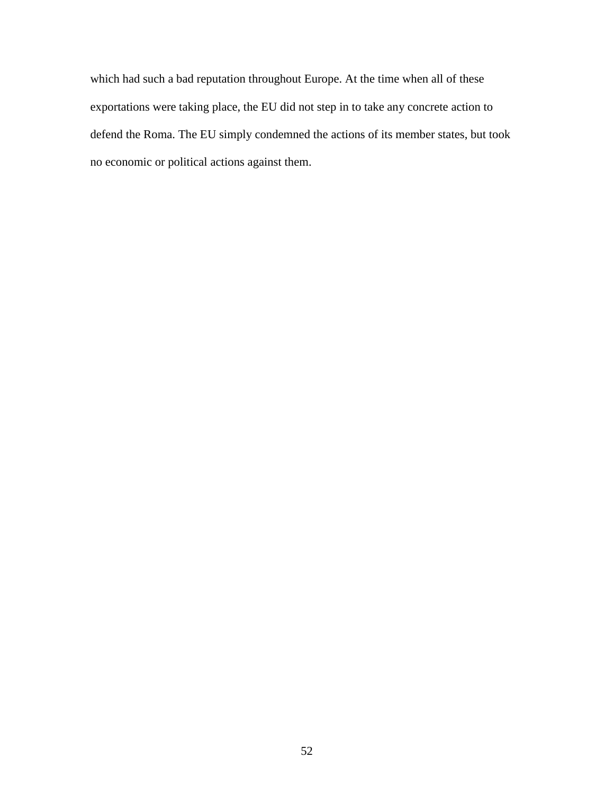which had such a bad reputation throughout Europe. At the time when all of these exportations were taking place, the EU did not step in to take any concrete action to defend the Roma. The EU simply condemned the actions of its member states, but took no economic or political actions against them.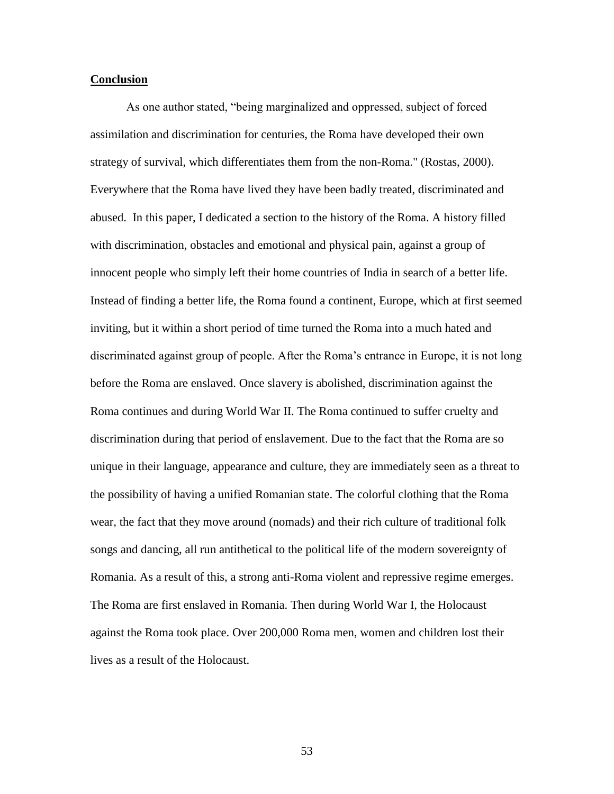# **Conclusion**

As one author stated, "being marginalized and oppressed, subject of forced assimilation and discrimination for centuries, the Roma have developed their own strategy of survival, which differentiates them from the non-Roma." (Rostas, 2000). Everywhere that the Roma have lived they have been badly treated, discriminated and abused. In this paper, I dedicated a section to the history of the Roma. A history filled with discrimination, obstacles and emotional and physical pain, against a group of innocent people who simply left their home countries of India in search of a better life. Instead of finding a better life, the Roma found a continent, Europe, which at first seemed inviting, but it within a short period of time turned the Roma into a much hated and discriminated against group of people. After the Roma"s entrance in Europe, it is not long before the Roma are enslaved. Once slavery is abolished, discrimination against the Roma continues and during World War II. The Roma continued to suffer cruelty and discrimination during that period of enslavement. Due to the fact that the Roma are so unique in their language, appearance and culture, they are immediately seen as a threat to the possibility of having a unified Romanian state. The colorful clothing that the Roma wear, the fact that they move around (nomads) and their rich culture of traditional folk songs and dancing, all run antithetical to the political life of the modern sovereignty of Romania. As a result of this, a strong anti-Roma violent and repressive regime emerges. The Roma are first enslaved in Romania. Then during World War I, the Holocaust against the Roma took place. Over 200,000 Roma men, women and children lost their lives as a result of the Holocaust.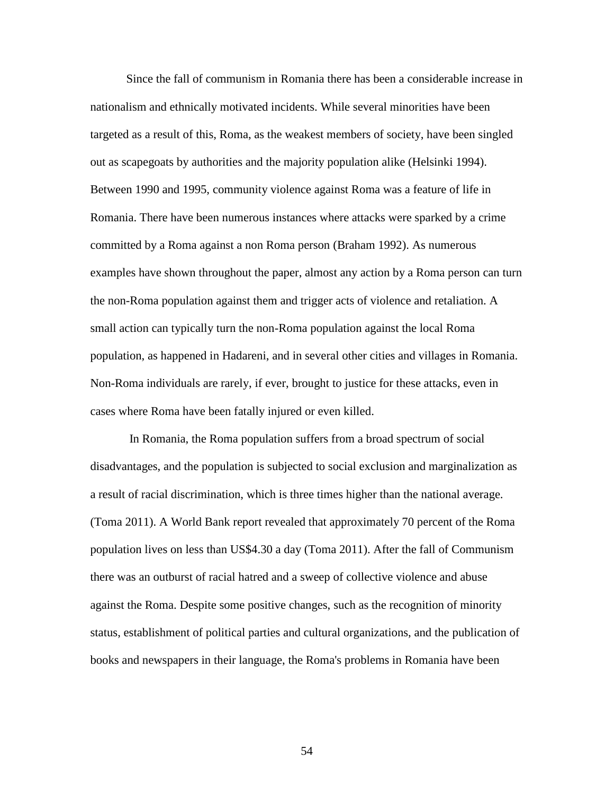Since the fall of communism in Romania there has been a considerable increase in nationalism and ethnically motivated incidents. While several minorities have been targeted as a result of this, Roma, as the weakest members of society, have been singled out as scapegoats by authorities and the majority population alike (Helsinki 1994). Between 1990 and 1995, community violence against Roma was a feature of life in Romania. There have been numerous instances where attacks were sparked by a crime committed by a Roma against a non Roma person (Braham 1992). As numerous examples have shown throughout the paper, almost any action by a Roma person can turn the non-Roma population against them and trigger acts of violence and retaliation. A small action can typically turn the non-Roma population against the local Roma population, as happened in Hadareni, and in several other cities and villages in Romania. Non-Roma individuals are rarely, if ever, brought to justice for these attacks, even in cases where Roma have been fatally injured or even killed.

In Romania, the Roma population suffers from a broad spectrum of social disadvantages, and the population is subjected to social exclusion and marginalization as a result of racial discrimination, which is three times higher than the national average. (Toma 2011). A World Bank report revealed that approximately 70 percent of the Roma population lives on less than US\$4.30 a day (Toma 2011). After the fall of Communism there was an outburst of racial hatred and a sweep of collective violence and abuse against the Roma. Despite some positive changes, such as the recognition of minority status, establishment of political parties and cultural organizations, and the publication of books and newspapers in their language, the Roma's problems in Romania have been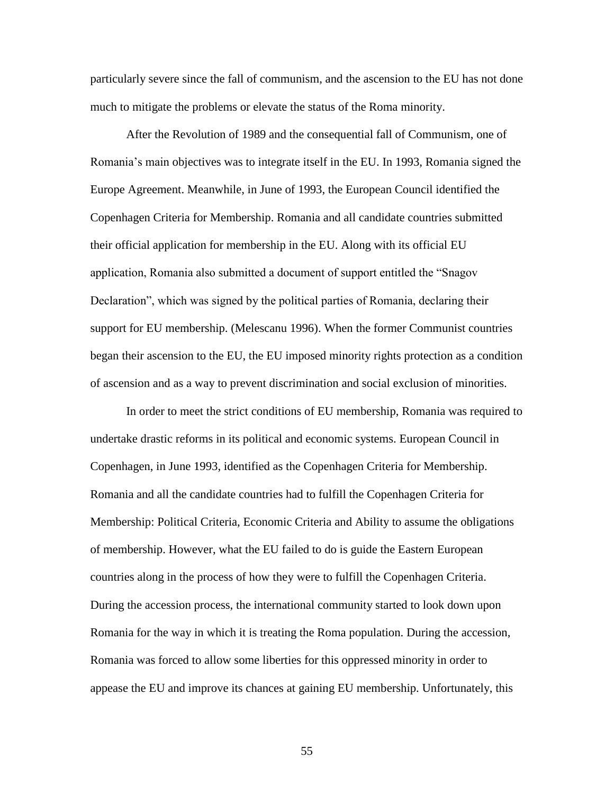particularly severe since the fall of communism, and the ascension to the EU has not done much to mitigate the problems or elevate the status of the Roma minority.

After the Revolution of 1989 and the consequential fall of Communism, one of Romania's main objectives was to integrate itself in the EU. In 1993, Romania signed the Europe Agreement. Meanwhile, in June of 1993, the European Council identified the Copenhagen Criteria for Membership. Romania and all candidate countries submitted their official application for membership in the EU. Along with its official EU application, Romania also submitted a document of support entitled the "Snagov Declaration", which was signed by the political parties of Romania, declaring their support for EU membership. (Melescanu 1996). When the former Communist countries began their ascension to the EU, the EU imposed minority rights protection as a condition of ascension and as a way to prevent discrimination and social exclusion of minorities.

In order to meet the strict conditions of EU membership, Romania was required to undertake drastic reforms in its political and economic systems. European Council in Copenhagen, in June 1993, identified as the Copenhagen Criteria for Membership. Romania and all the candidate countries had to fulfill the Copenhagen Criteria for Membership: Political Criteria, Economic Criteria and Ability to assume the obligations of membership. However, what the EU failed to do is guide the Eastern European countries along in the process of how they were to fulfill the Copenhagen Criteria. During the accession process, the international community started to look down upon Romania for the way in which it is treating the Roma population. During the accession, Romania was forced to allow some liberties for this oppressed minority in order to appease the EU and improve its chances at gaining EU membership. Unfortunately, this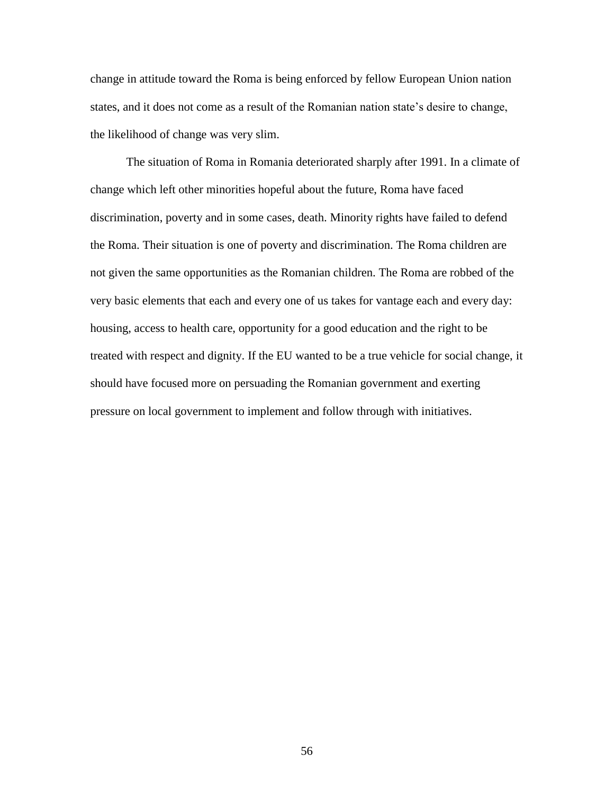change in attitude toward the Roma is being enforced by fellow European Union nation states, and it does not come as a result of the Romanian nation state's desire to change, the likelihood of change was very slim.

The situation of Roma in Romania deteriorated sharply after 1991. In a climate of change which left other minorities hopeful about the future, Roma have faced discrimination, poverty and in some cases, death. Minority rights have failed to defend the Roma. Their situation is one of poverty and discrimination. The Roma children are not given the same opportunities as the Romanian children. The Roma are robbed of the very basic elements that each and every one of us takes for vantage each and every day: housing, access to health care, opportunity for a good education and the right to be treated with respect and dignity. If the EU wanted to be a true vehicle for social change, it should have focused more on persuading the Romanian government and exerting pressure on local government to implement and follow through with initiatives.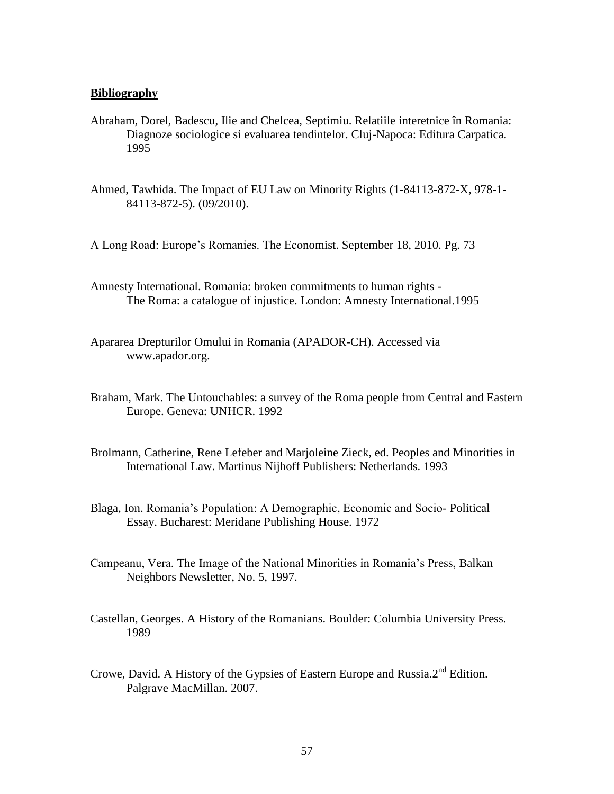## **Bibliography**

- Abraham, Dorel, Badescu, Ilie and Chelcea, Septimiu. Relatiile interetnice în Romania: Diagnoze sociologice si evaluarea tendintelor. Cluj-Napoca: Editura Carpatica. 1995
- Ahmed, Tawhida. The Impact of EU Law on Minority Rights (1-84113-872-X, 978-1- 84113-872-5). (09/2010).
- A Long Road: Europe"s Romanies. The Economist. September 18, 2010. Pg. 73
- Amnesty International. Romania: broken commitments to human rights The Roma: a catalogue of injustice. London: Amnesty International.1995
- Apararea Drepturilor Omului in Romania (APADOR-CH). Accessed via [www.apador.org.](http://www.apador.org/)
- Braham, Mark. The Untouchables: a survey of the Roma people from Central and Eastern Europe. Geneva: UNHCR. 1992
- Brolmann, Catherine, Rene Lefeber and Marjoleine Zieck, ed. Peoples and Minorities in International Law. Martinus Nijhoff Publishers: Netherlands. 1993
- Blaga, Ion. Romania"s Population: A Demographic, Economic and Socio- Political Essay. Bucharest: Meridane Publishing House. 1972
- Campeanu, Vera. The Image of the National Minorities in Romania"s Press, Balkan Neighbors Newsletter, No. 5, 1997.
- Castellan, Georges. A History of the Romanians. Boulder: Columbia University Press. 1989
- Crowe, David. A History of the Gypsies of Eastern Europe and Russia. $2<sup>nd</sup>$  Edition. Palgrave MacMillan. 2007.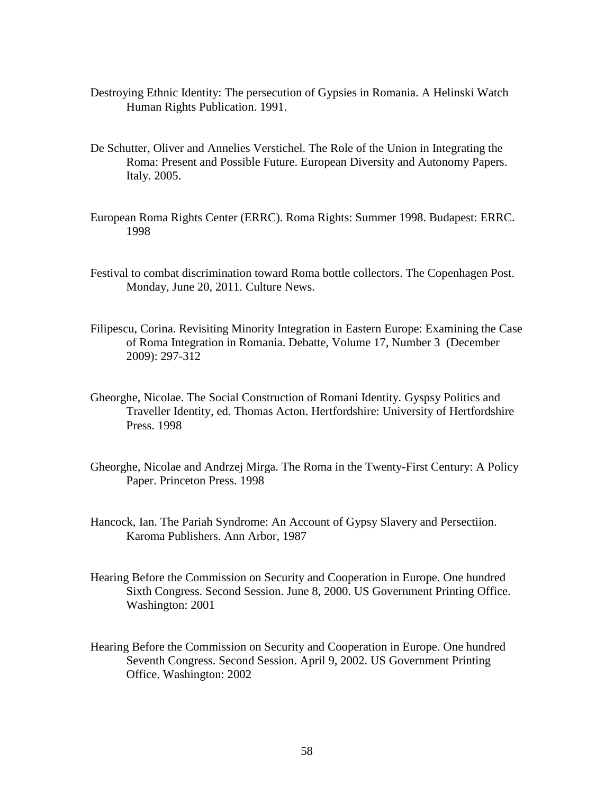- Destroying Ethnic Identity: The persecution of Gypsies in Romania. A Helinski Watch Human Rights Publication. 1991.
- De Schutter, Oliver and Annelies Verstichel. The Role of the Union in Integrating the Roma: Present and Possible Future. European Diversity and Autonomy Papers. Italy. 2005.
- European Roma Rights Center (ERRC). Roma Rights: Summer 1998. Budapest: ERRC. 1998
- Festival to combat discrimination toward Roma bottle collectors. The Copenhagen Post. Monday, June 20, 2011. Culture News.
- Filipescu, Corina. Revisiting Minority Integration in Eastern Europe: Examining the Case of Roma Integration in Romania. Debatte, Volume 17, Number 3 (December 2009): 297-312
- Gheorghe, Nicolae. The Social Construction of Romani Identity. Gyspsy Politics and Traveller Identity, ed. Thomas Acton. Hertfordshire: University of Hertfordshire Press. 1998
- Gheorghe, Nicolae and Andrzej Mirga. The Roma in the Twenty-First Century: A Policy Paper. Princeton Press. 1998
- Hancock, Ian. The Pariah Syndrome: An Account of Gypsy Slavery and Persectiion. Karoma Publishers. Ann Arbor, 1987
- Hearing Before the Commission on Security and Cooperation in Europe. One hundred Sixth Congress. Second Session. June 8, 2000. US Government Printing Office. Washington: 2001
- Hearing Before the Commission on Security and Cooperation in Europe. One hundred Seventh Congress. Second Session. April 9, 2002. US Government Printing Office. Washington: 2002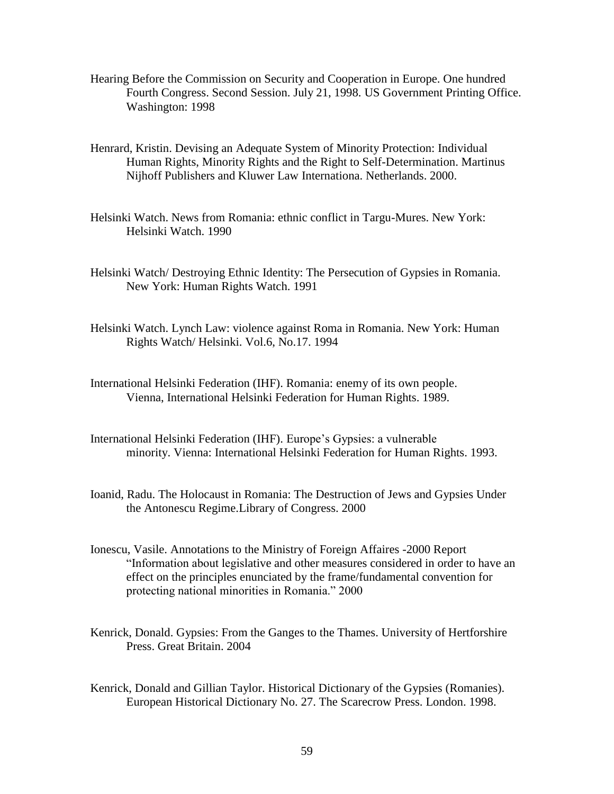- Hearing Before the Commission on Security and Cooperation in Europe. One hundred Fourth Congress. Second Session. July 21, 1998. US Government Printing Office. Washington: 1998
- Henrard, Kristin. Devising an Adequate System of Minority Protection: Individual Human Rights, Minority Rights and the Right to Self-Determination. Martinus Nijhoff Publishers and Kluwer Law Internationa. Netherlands. 2000.
- Helsinki Watch. News from Romania: ethnic conflict in Targu-Mures. New York: Helsinki Watch. 1990
- Helsinki Watch/ Destroying Ethnic Identity: The Persecution of Gypsies in Romania. New York: Human Rights Watch. 1991
- Helsinki Watch. Lynch Law: violence against Roma in Romania. New York: Human Rights Watch/ Helsinki. Vol.6, No.17. 1994
- International Helsinki Federation (IHF). Romania: enemy of its own people. Vienna, International Helsinki Federation for Human Rights. 1989.
- International Helsinki Federation (IHF). Europe"s Gypsies: a vulnerable minority. Vienna: International Helsinki Federation for Human Rights. 1993.
- Ioanid, Radu. The Holocaust in Romania: The Destruction of Jews and Gypsies Under the Antonescu Regime.Library of Congress. 2000
- Ionescu, Vasile. Annotations to the Ministry of Foreign Affaires -2000 Report "Information about legislative and other measures considered in order to have an effect on the principles enunciated by the frame/fundamental convention for protecting national minorities in Romania." 2000
- Kenrick, Donald. Gypsies: From the Ganges to the Thames. University of Hertforshire Press. Great Britain. 2004
- Kenrick, Donald and Gillian Taylor. Historical Dictionary of the Gypsies (Romanies). European Historical Dictionary No. 27. The Scarecrow Press. London. 1998.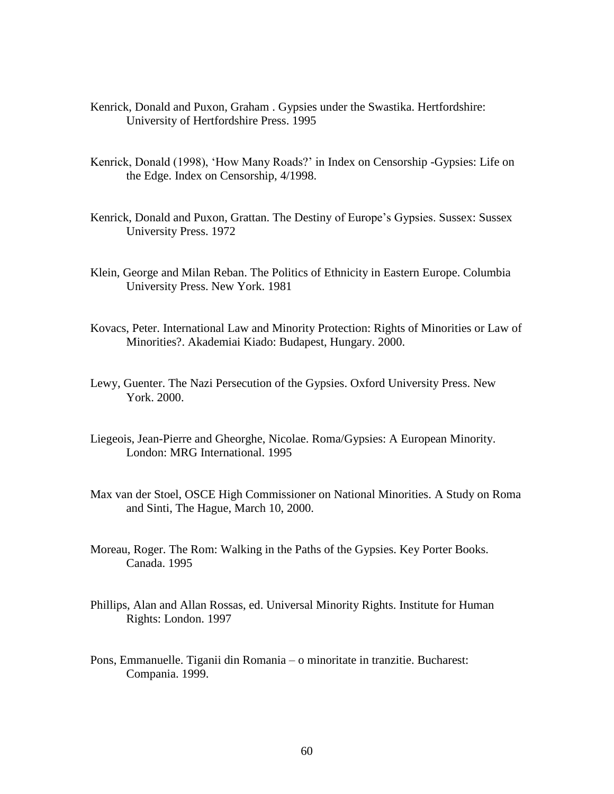- Kenrick, Donald and Puxon, Graham . Gypsies under the Swastika. Hertfordshire: University of Hertfordshire Press. 1995
- Kenrick, Donald (1998), "How Many Roads?" in Index on Censorship -Gypsies: Life on the Edge. Index on Censorship, 4/1998.
- Kenrick, Donald and Puxon, Grattan. The Destiny of Europe's Gypsies. Sussex: Sussex University Press. 1972
- Klein, George and Milan Reban. The Politics of Ethnicity in Eastern Europe. Columbia University Press. New York. 1981
- Kovacs, Peter. International Law and Minority Protection: Rights of Minorities or Law of Minorities?. Akademiai Kiado: Budapest, Hungary. 2000.
- Lewy, Guenter. The Nazi Persecution of the Gypsies. Oxford University Press. New York. 2000.
- Liegeois, Jean-Pierre and Gheorghe, Nicolae. Roma/Gypsies: A European Minority. London: MRG International. 1995
- Max van der Stoel, OSCE High Commissioner on National Minorities. A Study on Roma and Sinti, The Hague, March 10, 2000.
- Moreau, Roger. The Rom: Walking in the Paths of the Gypsies. Key Porter Books. Canada. 1995
- Phillips, Alan and Allan Rossas, ed. Universal Minority Rights. Institute for Human Rights: London. 1997
- Pons, Emmanuelle. Tiganii din Romania o minoritate in tranzitie. Bucharest: Compania. 1999.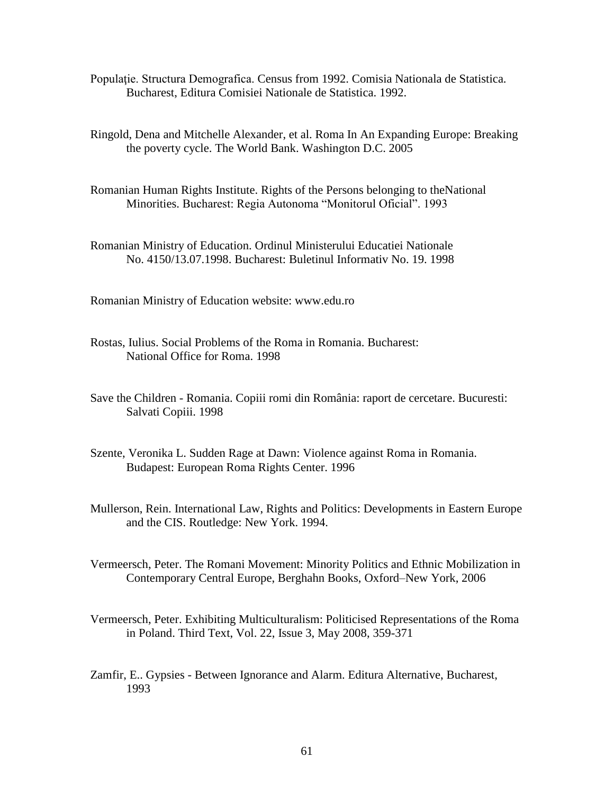- Populaţie. Structura Demografica. Census from 1992. Comisia Nationala de Statistica. Bucharest, Editura Comisiei Nationale de Statistica. 1992.
- Ringold, Dena and Mitchelle Alexander, et al. Roma In An Expanding Europe: Breaking the poverty cycle. The World Bank. Washington D.C. 2005
- Romanian Human Rights Institute. Rights of the Persons belonging to theNational Minorities. Bucharest: Regia Autonoma "Monitorul Oficial". 1993
- Romanian Ministry of Education. Ordinul Ministerului Educatiei Nationale No. 4150/13.07.1998. Bucharest: Buletinul Informativ No. 19. 1998

Romanian Ministry of Education website: www.edu.ro

- Rostas, Iulius. Social Problems of the Roma in Romania. Bucharest: National Office for Roma. 1998
- Save the Children Romania. Copiii romi din România: raport de cercetare. Bucuresti: Salvati Copiii. 1998
- Szente, Veronika L. Sudden Rage at Dawn: Violence against Roma in Romania. Budapest: European Roma Rights Center. 1996
- Mullerson, Rein. International Law, Rights and Politics: Developments in Eastern Europe and the CIS. Routledge: New York. 1994.
- Vermeersch, Peter. The Romani Movement: Minority Politics and Ethnic Mobilization in Contemporary Central Europe, Berghahn Books, Oxford–New York, 2006
- Vermeersch, Peter. Exhibiting Multiculturalism: Politicised Representations of the Roma in Poland. Third Text, Vol. 22, Issue 3, May 2008, 359-371
- Zamfir, E.. Gypsies Between Ignorance and Alarm. Editura Alternative, Bucharest, 1993